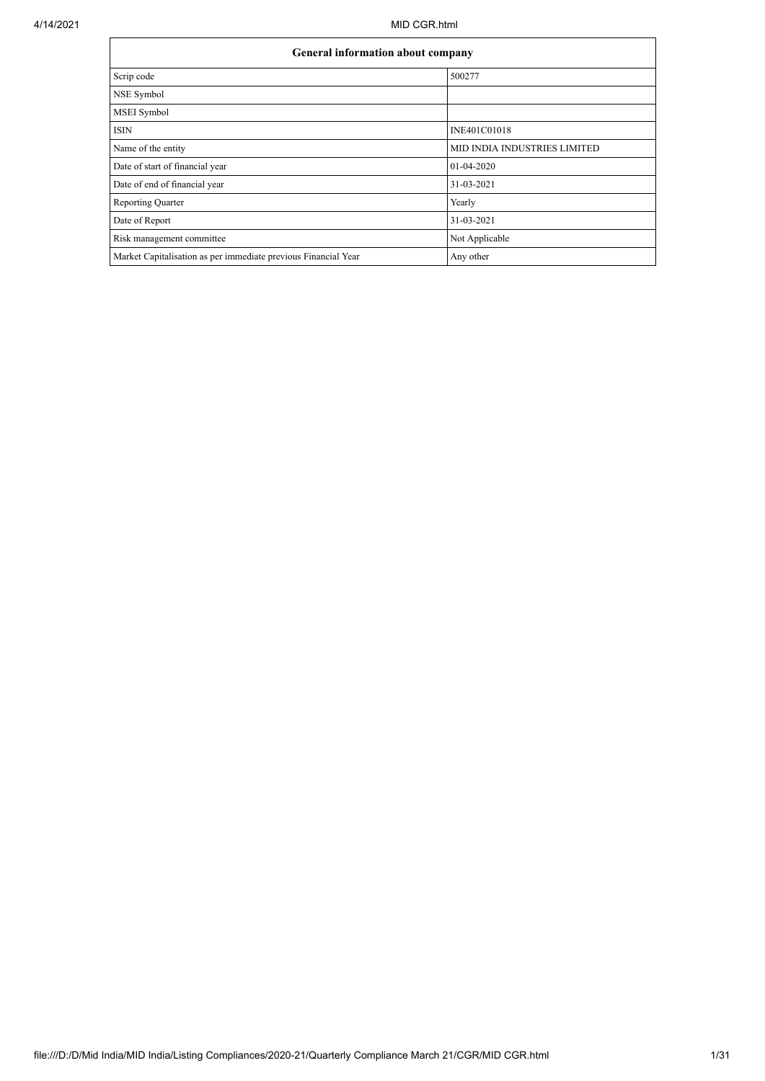|                                                                | <b>General information about company</b> |  |  |  |  |  |  |
|----------------------------------------------------------------|------------------------------------------|--|--|--|--|--|--|
| Scrip code                                                     | 500277                                   |  |  |  |  |  |  |
| NSE Symbol                                                     |                                          |  |  |  |  |  |  |
| <b>MSEI</b> Symbol                                             |                                          |  |  |  |  |  |  |
| <b>ISIN</b>                                                    | INE401C01018                             |  |  |  |  |  |  |
| Name of the entity                                             | <b>MID INDIA INDUSTRIES LIMITED</b>      |  |  |  |  |  |  |
| Date of start of financial year                                | 01-04-2020                               |  |  |  |  |  |  |
| Date of end of financial year                                  | 31-03-2021                               |  |  |  |  |  |  |
| <b>Reporting Quarter</b>                                       | Yearly                                   |  |  |  |  |  |  |
| Date of Report                                                 | 31-03-2021                               |  |  |  |  |  |  |
| Risk management committee                                      | Not Applicable                           |  |  |  |  |  |  |
| Market Capitalisation as per immediate previous Financial Year | Any other                                |  |  |  |  |  |  |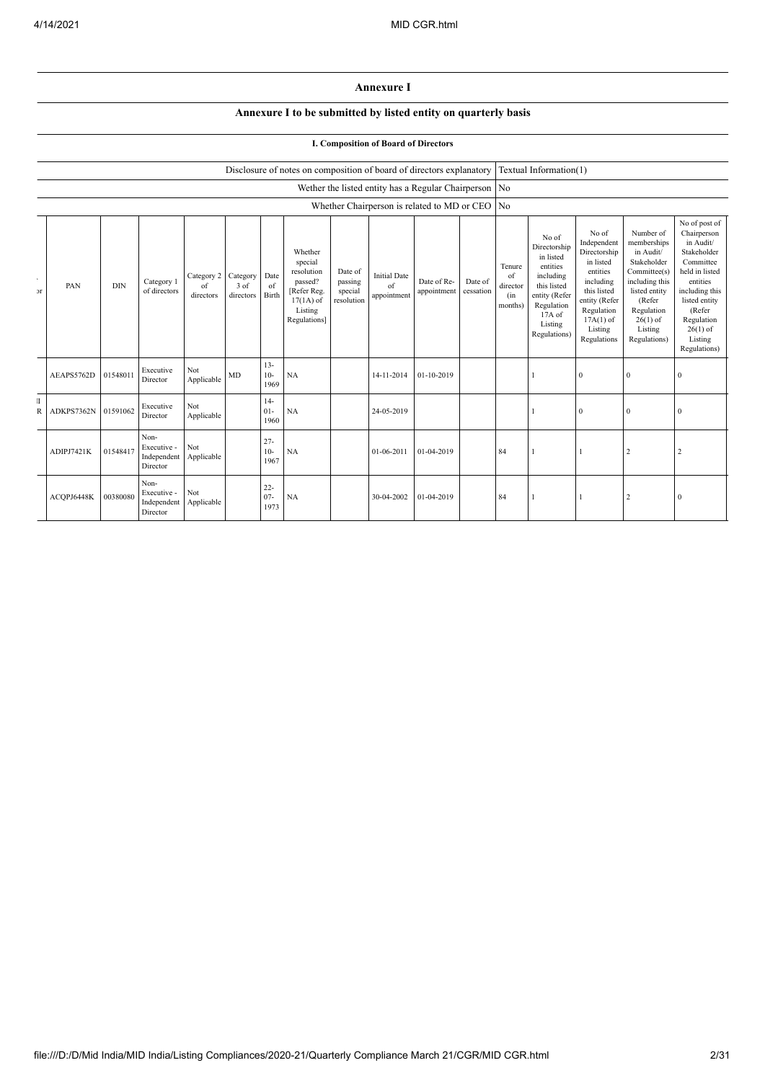## **Annexure I**

## **Annexure I to be submitted by listed entity on quarterly basis**

## **I. Composition of Board of Directors**

|                             |            | Disclosure of notes on composition of board of directors explanatory<br>Wether the listed entity has a Regular Chairperson No<br>Whether Chairperson is related to MD or CEO |                                                |                               |                                 |                          |                                                                                                      |                                             | Textual Information(1)                   |                            |                      |                                            |                                                                                                                                                |                                                                                                                                                                   |                                                                                                                                                                          |                                                                                                                                                                                                         |
|-----------------------------|------------|------------------------------------------------------------------------------------------------------------------------------------------------------------------------------|------------------------------------------------|-------------------------------|---------------------------------|--------------------------|------------------------------------------------------------------------------------------------------|---------------------------------------------|------------------------------------------|----------------------------|----------------------|--------------------------------------------|------------------------------------------------------------------------------------------------------------------------------------------------|-------------------------------------------------------------------------------------------------------------------------------------------------------------------|--------------------------------------------------------------------------------------------------------------------------------------------------------------------------|---------------------------------------------------------------------------------------------------------------------------------------------------------------------------------------------------------|
|                             |            |                                                                                                                                                                              |                                                |                               |                                 |                          |                                                                                                      |                                             |                                          |                            |                      |                                            |                                                                                                                                                |                                                                                                                                                                   |                                                                                                                                                                          |                                                                                                                                                                                                         |
|                             |            |                                                                                                                                                                              |                                                |                               |                                 |                          |                                                                                                      |                                             |                                          |                            |                      | N <sub>o</sub>                             |                                                                                                                                                |                                                                                                                                                                   |                                                                                                                                                                          |                                                                                                                                                                                                         |
| $\epsilon$<br>$\mathcal{F}$ | PAN        | <b>DIN</b>                                                                                                                                                                   | Category 1<br>of directors                     | Category 2<br>of<br>directors | Category<br>$3$ of<br>directors | Date<br>of<br>Birth      | Whether<br>special<br>resolution<br>passed?<br>[Refer Reg.<br>$17(1A)$ of<br>Listing<br>Regulations] | Date of<br>passing<br>special<br>resolution | <b>Initial Date</b><br>of<br>appointment | Date of Re-<br>appointment | Date of<br>cessation | Tenure<br>of<br>director<br>(in<br>months) | No of<br>Directorship<br>in listed<br>entities<br>including<br>this listed<br>entity (Refer<br>Regulation<br>17A of<br>Listing<br>Regulations) | No of<br>Independent<br>Directorship<br>in listed<br>entities<br>including<br>this listed<br>entity (Refer<br>Regulation<br>$17A(1)$ of<br>Listing<br>Regulations | Number of<br>memberships<br>in Audit/<br>Stakeholder<br>Committee(s)<br>including this<br>listed entity<br>(Refer<br>Regulation<br>$26(1)$ of<br>Listing<br>Regulations) | No of post of<br>Chairperson<br>in Audit/<br>Stakeholder<br>Committee<br>held in listed<br>entities<br>including this<br>listed entity<br>(Refer<br>Regulation<br>$26(1)$ of<br>Listing<br>Regulations) |
|                             | AEAPS5762D | 01548011                                                                                                                                                                     | Executive<br>Director                          | Not<br>Applicable             | <b>MD</b>                       | $13 -$<br>$10-$<br>1969  | NA                                                                                                   |                                             | 14-11-2014                               | 01-10-2019                 |                      |                                            |                                                                                                                                                | $\mathbf{0}$                                                                                                                                                      | $\overline{0}$                                                                                                                                                           | $\mathbf{0}$                                                                                                                                                                                            |
| T<br>R                      | ADKPS7362N | 01591062                                                                                                                                                                     | Executive<br>Director                          | Not<br>Applicable             |                                 | $14-$<br>$01-$<br>1960   | NA                                                                                                   |                                             | 24-05-2019                               |                            |                      |                                            |                                                                                                                                                | $\mathbf{0}$                                                                                                                                                      | $\bf{0}$                                                                                                                                                                 | $\bf{0}$                                                                                                                                                                                                |
|                             | ADIPJ7421K | 01548417                                                                                                                                                                     | Non-<br>Executive -<br>Independent<br>Director | Not<br>Applicable             |                                 | $27 -$<br>$10-$<br>1967  | NA                                                                                                   |                                             | 01-06-2011                               | 01-04-2019                 |                      | 84                                         |                                                                                                                                                |                                                                                                                                                                   | $\overline{c}$                                                                                                                                                           | $\overline{\mathbf{c}}$                                                                                                                                                                                 |
|                             | ACQPJ6448K | 00380080                                                                                                                                                                     | Non-<br>Executive -<br>Independent<br>Director | Not<br>Applicable             |                                 | $22 -$<br>$07 -$<br>1973 | NA                                                                                                   |                                             | 30-04-2002                               | 01-04-2019                 |                      | 84                                         |                                                                                                                                                |                                                                                                                                                                   | $\overline{2}$                                                                                                                                                           | $\bf{0}$                                                                                                                                                                                                |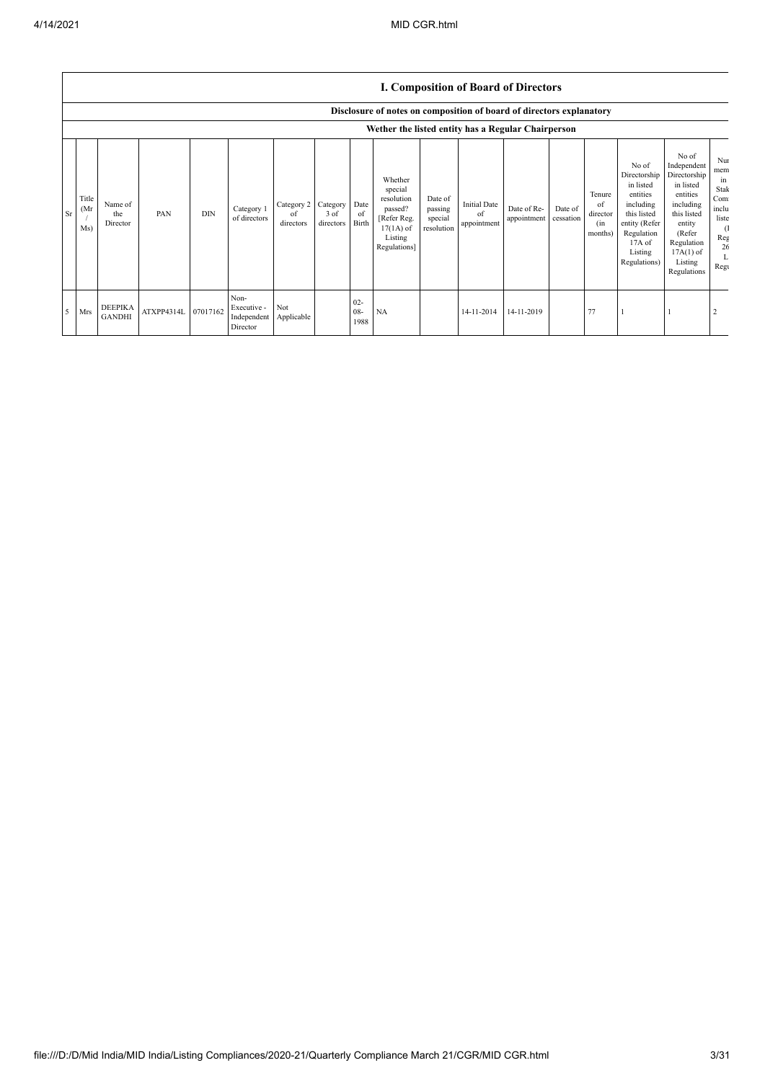|    |                                                    |                                 |            |            |                                                |                               |                                 |                          |                                                                                                      |                                             |                                          | <b>I. Composition of Board of Directors</b> |                      |                                            |                                                                                                                                                |                                                                                                                                                                      |                                                                                         |
|----|----------------------------------------------------|---------------------------------|------------|------------|------------------------------------------------|-------------------------------|---------------------------------|--------------------------|------------------------------------------------------------------------------------------------------|---------------------------------------------|------------------------------------------|---------------------------------------------|----------------------|--------------------------------------------|------------------------------------------------------------------------------------------------------------------------------------------------|----------------------------------------------------------------------------------------------------------------------------------------------------------------------|-----------------------------------------------------------------------------------------|
|    |                                                    |                                 |            |            |                                                |                               |                                 |                          | Disclosure of notes on composition of board of directors explanatory                                 |                                             |                                          |                                             |                      |                                            |                                                                                                                                                |                                                                                                                                                                      |                                                                                         |
|    | Wether the listed entity has a Regular Chairperson |                                 |            |            |                                                |                               |                                 |                          |                                                                                                      |                                             |                                          |                                             |                      |                                            |                                                                                                                                                |                                                                                                                                                                      |                                                                                         |
| Sr | Title<br>(Mr)<br>Ms)                               | Name of<br>the<br>Director      | PAN        | <b>DIN</b> | Category 1<br>of directors                     | Category 2<br>of<br>directors | Category I<br>3 of<br>directors | Date<br>of<br>Birth      | Whether<br>special<br>resolution<br>passed?<br>[Refer Reg.<br>$17(1A)$ of<br>Listing<br>Regulations] | Date of<br>passing<br>special<br>resolution | <b>Initial Date</b><br>of<br>appointment | Date of Re-<br>appointment                  | Date of<br>cessation | Tenure<br>of<br>director<br>(in<br>months) | No of<br>Directorship<br>in listed<br>entities<br>including<br>this listed<br>entity (Refer<br>Regulation<br>17A of<br>Listing<br>Regulations) | No of<br>Independent<br>Directorship<br>in listed<br>entities<br>including<br>this listed<br>entity<br>(Refer<br>Regulation<br>$17A(1)$ of<br>Listing<br>Regulations | Nui<br>mem<br>in<br>Stak<br>Com<br>inclu<br>liste<br><sup>(1</sup><br>Reg<br>26<br>Regu |
| 5  | Mrs                                                | <b>DEEPIKA</b><br><b>GANDHI</b> | ATXPP4314L | 07017162   | Non-<br>Executive -<br>Independent<br>Director | Not<br>Applicable             |                                 | $02 -$<br>$08 -$<br>1988 | NA                                                                                                   |                                             | 14-11-2014                               | 14-11-2019                                  |                      | 77                                         |                                                                                                                                                |                                                                                                                                                                      |                                                                                         |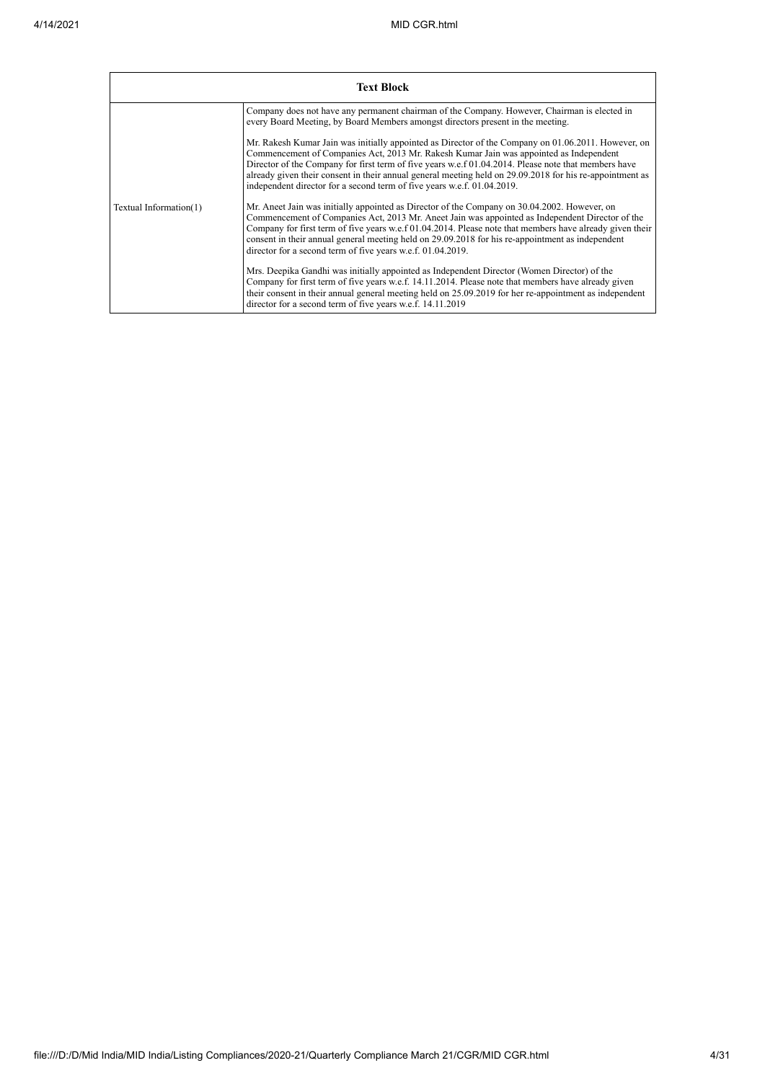|                        | <b>Text Block</b>                                                                                                                                                                                                                                                                                                                                                                                                                                                                            |
|------------------------|----------------------------------------------------------------------------------------------------------------------------------------------------------------------------------------------------------------------------------------------------------------------------------------------------------------------------------------------------------------------------------------------------------------------------------------------------------------------------------------------|
|                        | Company does not have any permanent chairman of the Company. However, Chairman is elected in<br>every Board Meeting, by Board Members amongst directors present in the meeting.                                                                                                                                                                                                                                                                                                              |
|                        | Mr. Rakesh Kumar Jain was initially appointed as Director of the Company on 01.06.2011. However, on<br>Commencement of Companies Act, 2013 Mr. Rakesh Kumar Jain was appointed as Independent<br>Director of the Company for first term of five years w.e.f 01.04.2014. Please note that members have<br>already given their consent in their annual general meeting held on 29.09.2018 for his re-appointment as<br>independent director for a second term of five years w.e.f. 01.04.2019. |
| Textual Information(1) | Mr. Aneet Jain was initially appointed as Director of the Company on 30.04.2002. However, on<br>Commencement of Companies Act, 2013 Mr. Aneet Jain was appointed as Independent Director of the<br>Company for first term of five years w.e.f 01.04.2014. Please note that members have already given their<br>consent in their annual general meeting held on 29.09.2018 for his re-appointment as independent<br>director for a second term of five years w.e.f. 01.04.2019.               |
|                        | Mrs. Deepika Gandhi was initially appointed as Independent Director (Women Director) of the<br>Company for first term of five years w.e.f. 14.11.2014. Please note that members have already given<br>their consent in their annual general meeting held on 25.09.2019 for her re-appointment as independent<br>director for a second term of five years w.e.f. 14.11.2019                                                                                                                   |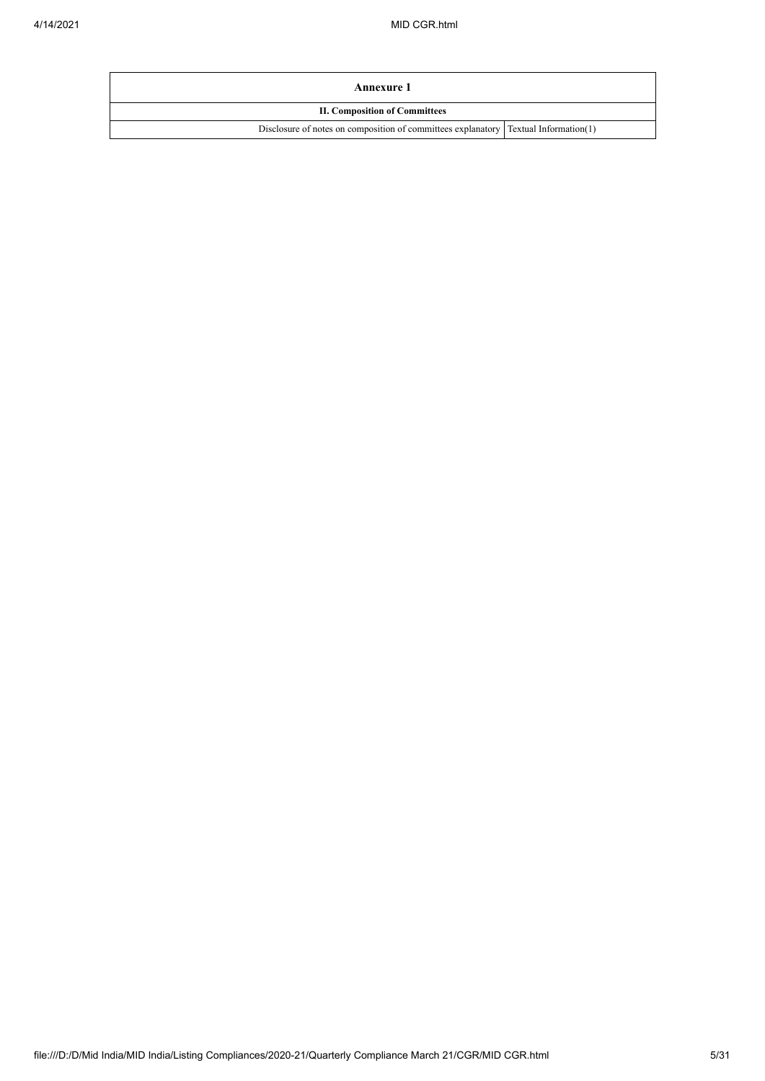| Annexure 1                                                                           |  |
|--------------------------------------------------------------------------------------|--|
| <b>II. Composition of Committees</b>                                                 |  |
| Disclosure of notes on composition of committees explanatory [Textual Information(1) |  |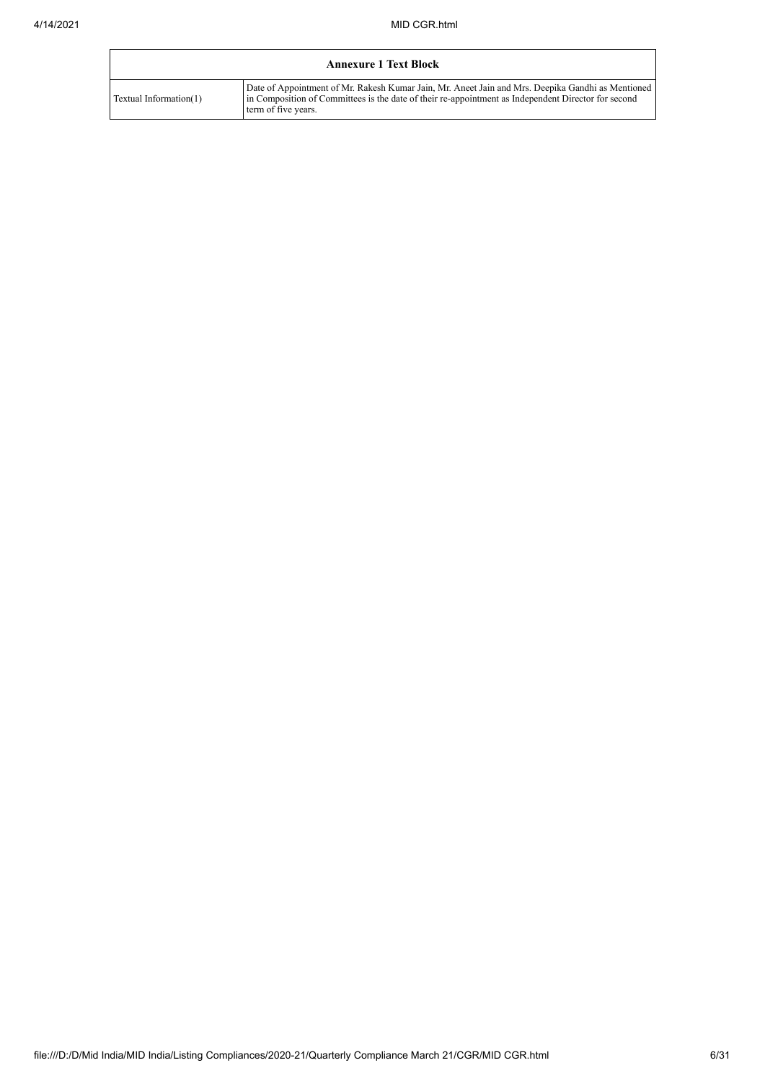|                        | <b>Annexure 1 Text Block</b>                                                                                                                                                                                                    |
|------------------------|---------------------------------------------------------------------------------------------------------------------------------------------------------------------------------------------------------------------------------|
| Textual Information(1) | Date of Appointment of Mr. Rakesh Kumar Jain, Mr. Aneet Jain and Mrs. Deepika Gandhi as Mentioned<br>in Composition of Committees is the date of their re-appointment as Independent Director for second<br>term of five years. |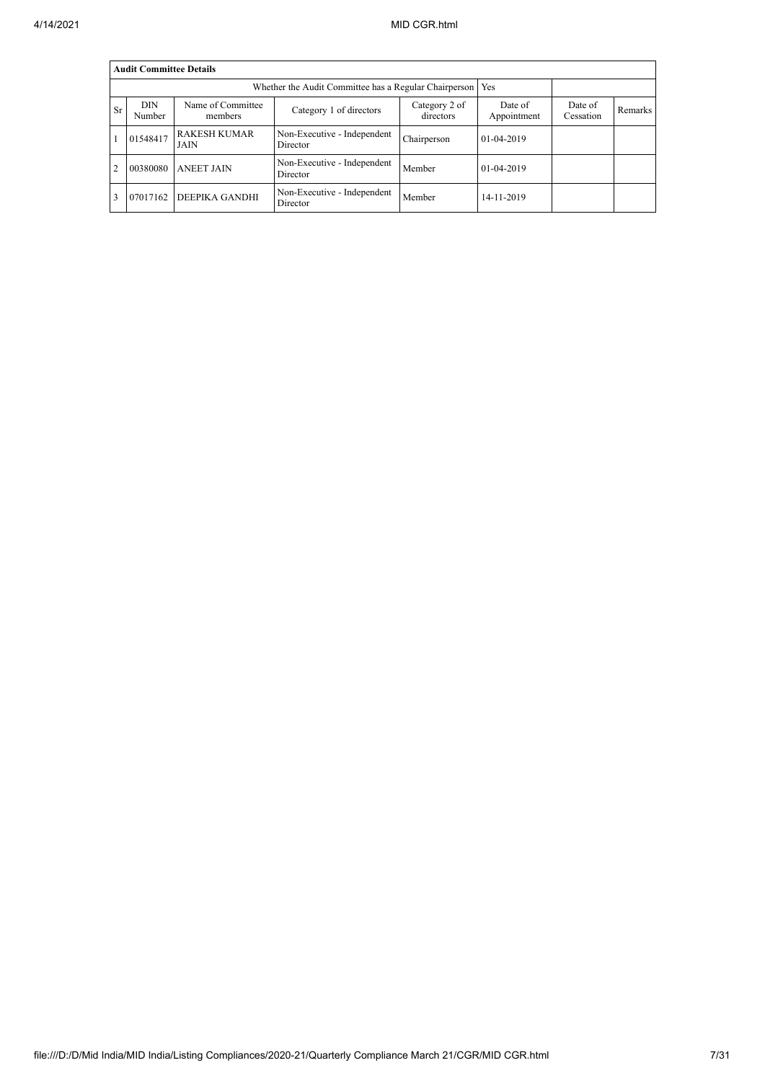|                | <b>Audit Committee Details</b> |                              |                                         |                            |                        |                      |         |  |  |  |  |
|----------------|--------------------------------|------------------------------|-----------------------------------------|----------------------------|------------------------|----------------------|---------|--|--|--|--|
|                |                                |                              |                                         |                            |                        |                      |         |  |  |  |  |
| <b>Sr</b>      | <b>DIN</b><br>Number           | Name of Committee<br>members | Category 1 of directors                 | Category 2 of<br>directors | Date of<br>Appointment | Date of<br>Cessation | Remarks |  |  |  |  |
|                | 01548417                       | <b>RAKESH KUMAR</b><br>JAIN  | Non-Executive - Independent<br>Director | Chairperson                | $01-04-2019$           |                      |         |  |  |  |  |
| $\overline{2}$ | 00380080                       | <b>ANEET JAIN</b>            | Non-Executive - Independent<br>Director | Member                     | 01-04-2019             |                      |         |  |  |  |  |
|                | 07017162                       | DEEPIKA GANDHI               | Non-Executive - Independent<br>Director | Member                     | 14-11-2019             |                      |         |  |  |  |  |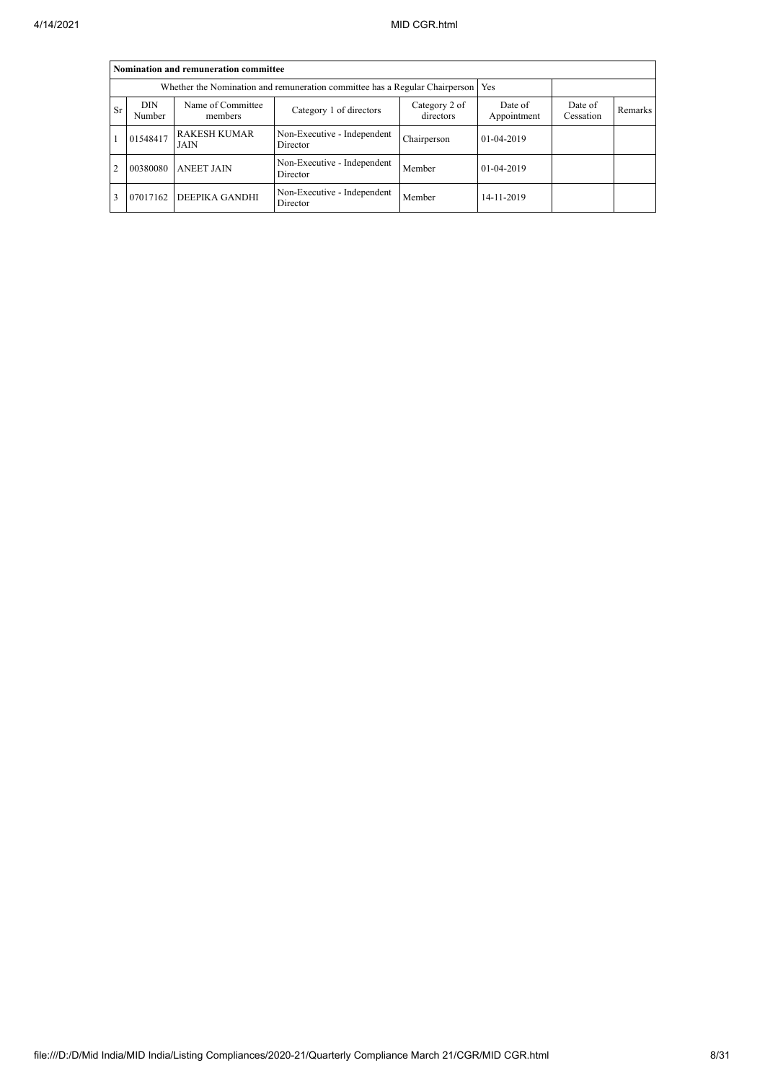|                | Nomination and remuneration committee                                             |                              |                                         |                            |                        |                      |         |  |  |  |  |
|----------------|-----------------------------------------------------------------------------------|------------------------------|-----------------------------------------|----------------------------|------------------------|----------------------|---------|--|--|--|--|
|                | Whether the Nomination and remuneration committee has a Regular Chairperson   Yes |                              |                                         |                            |                        |                      |         |  |  |  |  |
| <b>Sr</b>      | <b>DIN</b><br>Number                                                              | Name of Committee<br>members | Category 1 of directors                 | Category 2 of<br>directors | Date of<br>Appointment | Date of<br>Cessation | Remarks |  |  |  |  |
|                | 01548417                                                                          | <b>RAKESH KUMAR</b><br>JAIN  | Non-Executive - Independent<br>Director | Chairperson                | $01 - 04 - 2019$       |                      |         |  |  |  |  |
| $\overline{2}$ | 00380080                                                                          | <b>ANEET JAIN</b>            | Non-Executive - Independent<br>Director | Member                     | 01-04-2019             |                      |         |  |  |  |  |
| 3              | 07017162                                                                          | <b>DEEPIKA GANDHI</b>        | Non-Executive - Independent<br>Director | Member                     | 14-11-2019             |                      |         |  |  |  |  |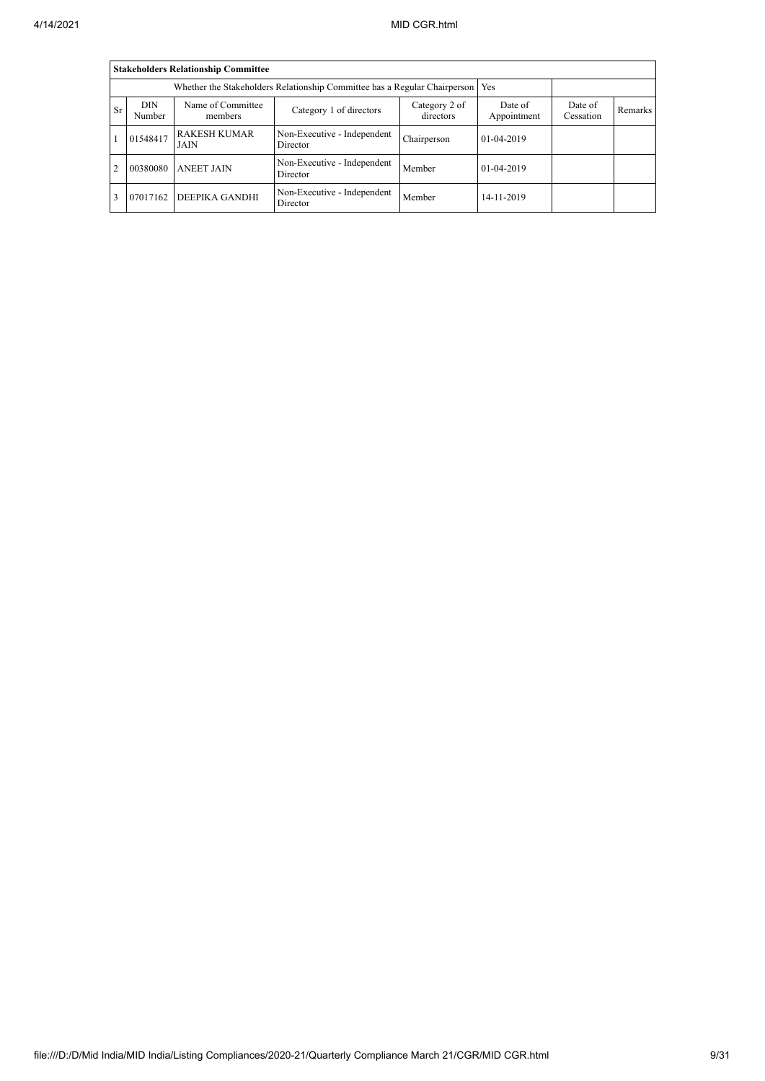|           | <b>Stakeholders Relationship Committee</b>                                      |                              |                                         |                            |                        |                      |         |  |  |  |  |
|-----------|---------------------------------------------------------------------------------|------------------------------|-----------------------------------------|----------------------------|------------------------|----------------------|---------|--|--|--|--|
|           | Whether the Stakeholders Relationship Committee has a Regular Chairperson   Yes |                              |                                         |                            |                        |                      |         |  |  |  |  |
| <b>Sr</b> | <b>DIN</b><br>Number                                                            | Name of Committee<br>members | Category 1 of directors                 | Category 2 of<br>directors | Date of<br>Appointment | Date of<br>Cessation | Remarks |  |  |  |  |
|           | 01548417                                                                        | <b>RAKESH KUMAR</b><br>JAIN  | Non-Executive - Independent<br>Director | Chairperson                | $01-04-2019$           |                      |         |  |  |  |  |
| 2         | 00380080                                                                        | <b>ANEET JAIN</b>            | Non-Executive - Independent<br>Director | Member                     | $01-04-2019$           |                      |         |  |  |  |  |
|           | 07017162                                                                        | DEEPIKA GANDHI               | Non-Executive - Independent<br>Director | Member                     | 14-11-2019             |                      |         |  |  |  |  |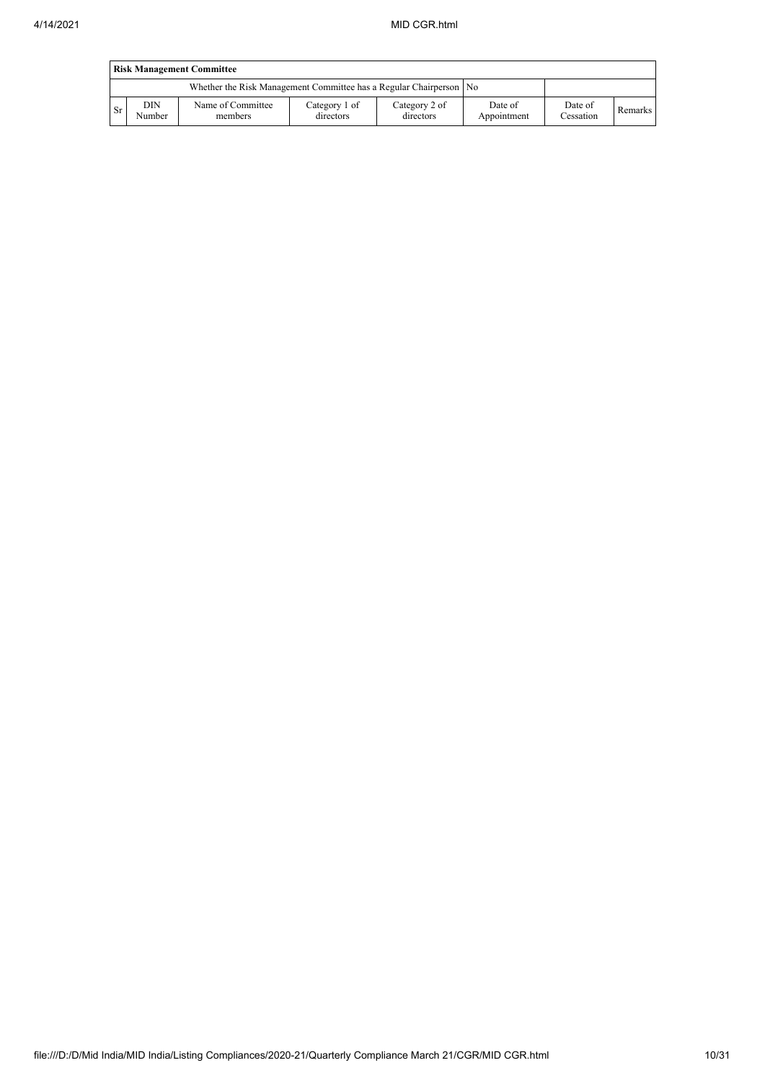|           | <b>Risk Management Committee</b> |                                                                    |                            |                            |                        |                      |         |  |  |  |  |
|-----------|----------------------------------|--------------------------------------------------------------------|----------------------------|----------------------------|------------------------|----------------------|---------|--|--|--|--|
|           |                                  | Whether the Risk Management Committee has a Regular Chairperson No |                            |                            |                        |                      |         |  |  |  |  |
| <b>Sr</b> | DIN<br>Number                    | Name of Committee<br>members                                       | Category 1 of<br>directors | Category 2 of<br>directors | Date of<br>Appointment | Date of<br>Cessation | Remarks |  |  |  |  |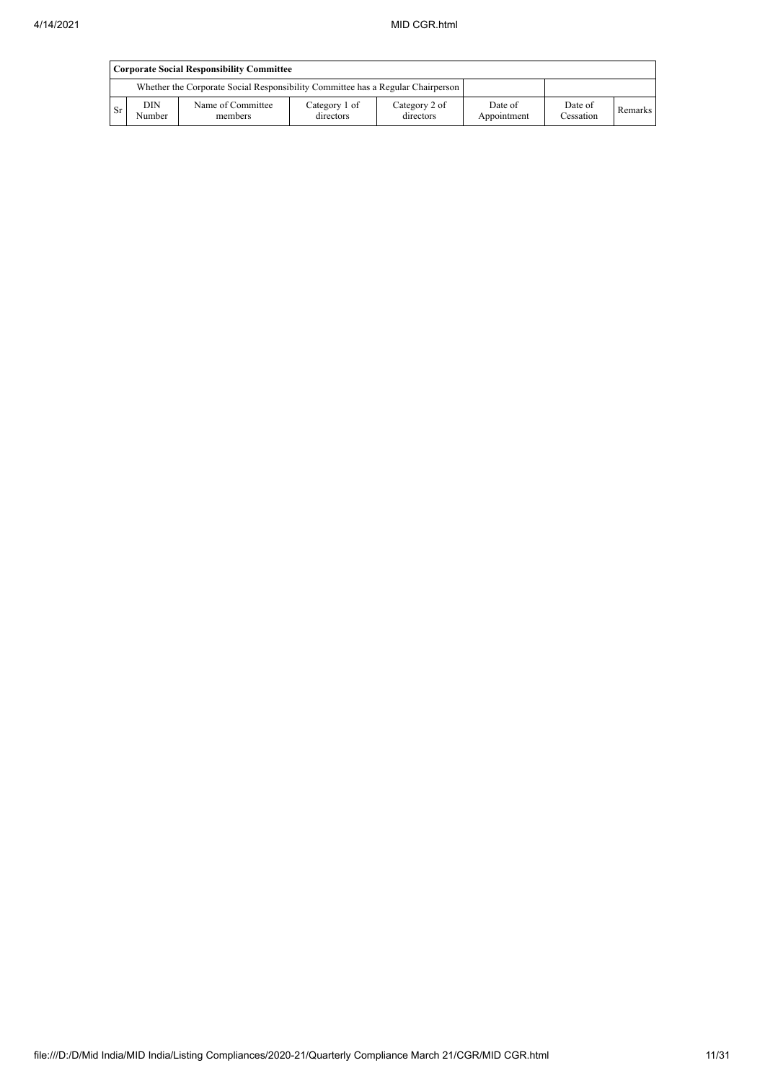|    | <b>Corporate Social Responsibility Committee</b> |                                                                                 |                            |                            |                        |                      |         |  |  |  |
|----|--------------------------------------------------|---------------------------------------------------------------------------------|----------------------------|----------------------------|------------------------|----------------------|---------|--|--|--|
|    |                                                  | Whether the Corporate Social Responsibility Committee has a Regular Chairperson |                            |                            |                        |                      |         |  |  |  |
| Sr | <b>DIN</b><br>Number                             | Name of Committee<br>members                                                    | Category 1 of<br>directors | Category 2 of<br>directors | Date of<br>Appointment | Date of<br>Cessation | Remarks |  |  |  |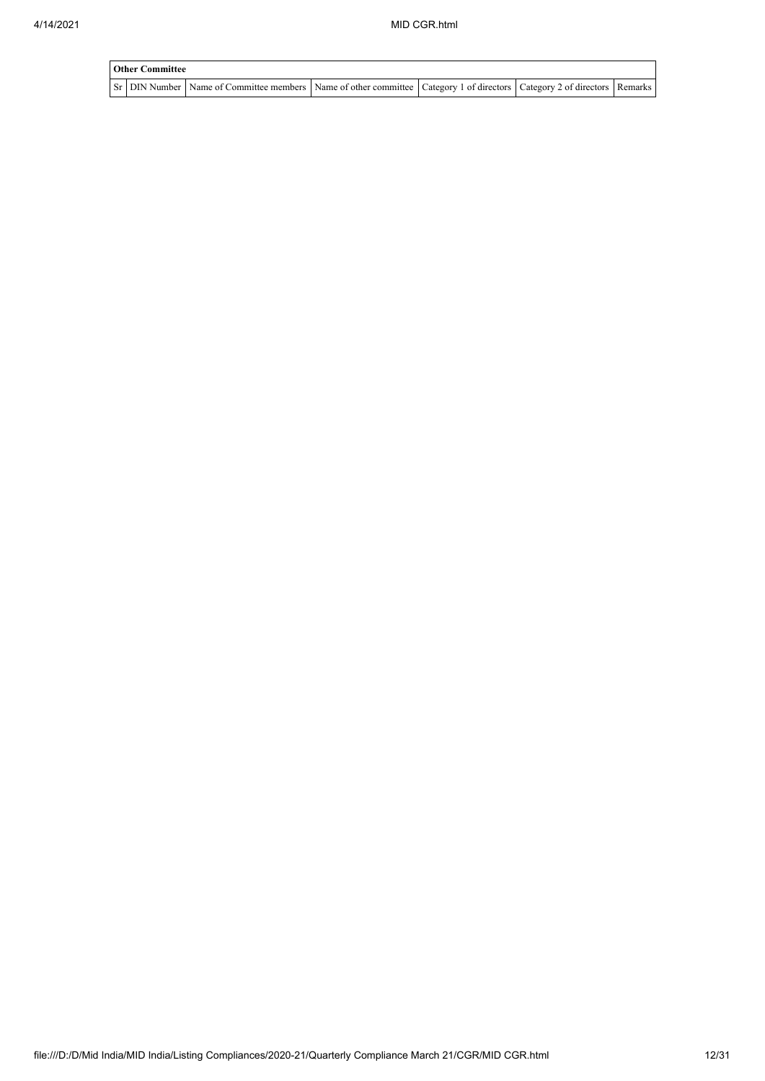| <b>Other Committee</b> |                                                                                                                               |  |  |  |  |  |  |  |  |
|------------------------|-------------------------------------------------------------------------------------------------------------------------------|--|--|--|--|--|--|--|--|
|                        | Sr DIN Number Name of Committee members Name of other committee   Category 1 of directors   Category 2 of directors   Remarks |  |  |  |  |  |  |  |  |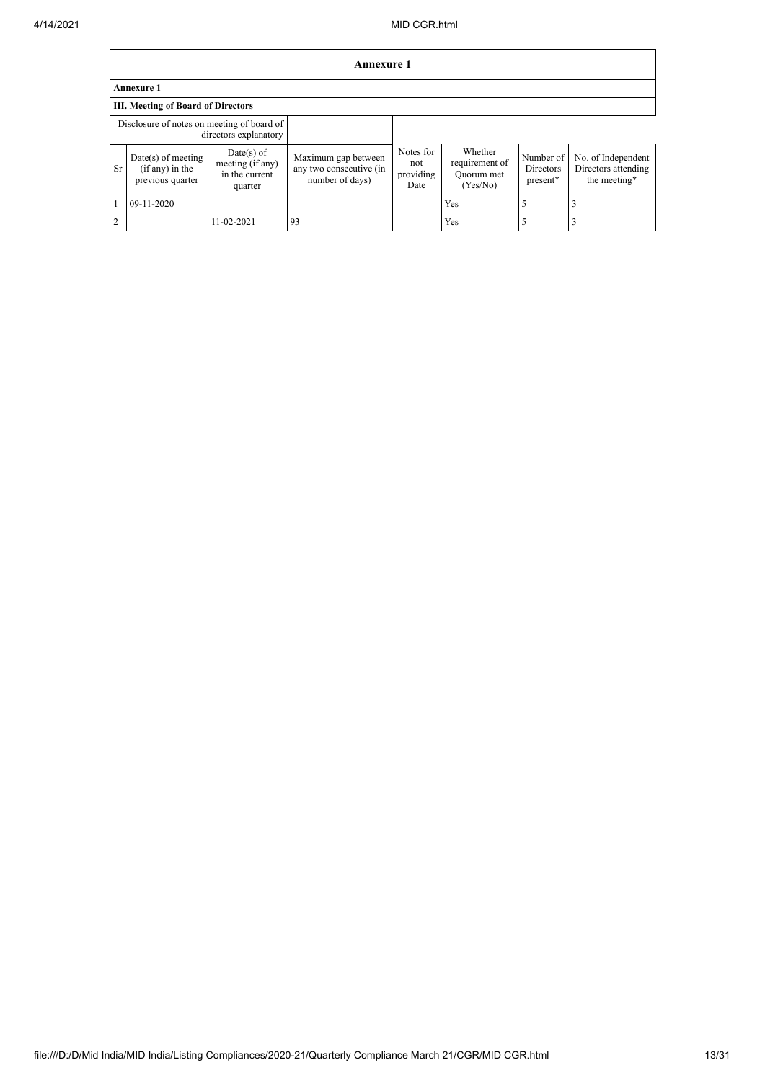|    | <b>Annexure 1</b>                                             |                                                               |                                                                   |                                       |                                                     |                                    |                                                           |
|----|---------------------------------------------------------------|---------------------------------------------------------------|-------------------------------------------------------------------|---------------------------------------|-----------------------------------------------------|------------------------------------|-----------------------------------------------------------|
|    | <b>Annexure 1</b>                                             |                                                               |                                                                   |                                       |                                                     |                                    |                                                           |
|    | <b>III.</b> Meeting of Board of Directors                     |                                                               |                                                                   |                                       |                                                     |                                    |                                                           |
|    | Disclosure of notes on meeting of board of                    | directors explanatory                                         |                                                                   |                                       |                                                     |                                    |                                                           |
| Sr | $Date(s)$ of meeting<br>$(if any)$ in the<br>previous quarter | $Date(s)$ of<br>meeting (if any)<br>in the current<br>quarter | Maximum gap between<br>any two consecutive (in<br>number of days) | Notes for<br>not<br>providing<br>Date | Whether<br>requirement of<br>Quorum met<br>(Yes/No) | Number of<br>Directors<br>present* | No. of Independent<br>Directors attending<br>the meeting* |
|    | 09-11-2020                                                    |                                                               |                                                                   |                                       | Yes                                                 | 5                                  |                                                           |
| 2  |                                                               | 11-02-2021                                                    | 93                                                                |                                       | Yes                                                 | 5                                  |                                                           |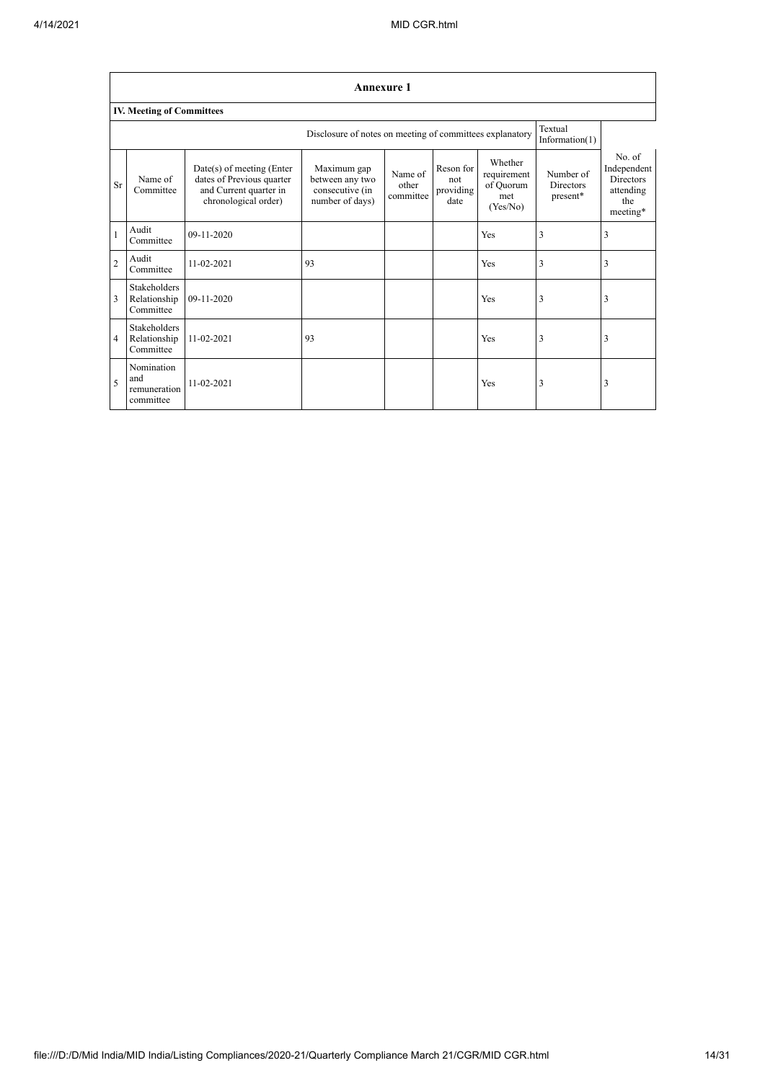٦

|                | <b>Annexure 1</b>                                                                     |                                                                                                            |                                                                      |                               |                                       |                                                        |                                           |                                                                           |
|----------------|---------------------------------------------------------------------------------------|------------------------------------------------------------------------------------------------------------|----------------------------------------------------------------------|-------------------------------|---------------------------------------|--------------------------------------------------------|-------------------------------------------|---------------------------------------------------------------------------|
|                | <b>IV. Meeting of Committees</b>                                                      |                                                                                                            |                                                                      |                               |                                       |                                                        |                                           |                                                                           |
|                | Textual<br>Disclosure of notes on meeting of committees explanatory<br>Information(1) |                                                                                                            |                                                                      |                               |                                       |                                                        |                                           |                                                                           |
| Sr             | Name of<br>Committee                                                                  | $Date(s)$ of meeting (Enter<br>dates of Previous quarter<br>and Current quarter in<br>chronological order) | Maximum gap<br>between any two<br>consecutive (in<br>number of days) | Name of<br>other<br>committee | Reson for<br>not<br>providing<br>date | Whether<br>requirement<br>of Quorum<br>met<br>(Yes/No) | Number of<br><b>Directors</b><br>present* | No. of<br>Independent<br><b>Directors</b><br>attending<br>the<br>meeting* |
|                | Audit<br>Committee                                                                    | 09-11-2020                                                                                                 |                                                                      |                               |                                       | Yes                                                    | 3                                         | 3                                                                         |
| $\overline{2}$ | Audit<br>Committee                                                                    | 11-02-2021                                                                                                 | 93                                                                   |                               |                                       | Yes                                                    | 3                                         | 3                                                                         |
| 3              | Stakeholders<br>Relationship<br>Committee                                             | 09-11-2020                                                                                                 |                                                                      |                               |                                       | Yes                                                    | 3                                         | 3                                                                         |
| $\overline{4}$ | <b>Stakeholders</b><br>Relationship<br>Committee                                      | 11-02-2021                                                                                                 | 93                                                                   |                               |                                       | Yes                                                    | 3                                         | 3                                                                         |
| 5              | Nomination<br>and<br>remuneration<br>committee                                        | 11-02-2021                                                                                                 |                                                                      |                               |                                       | Yes                                                    | 3                                         | 3                                                                         |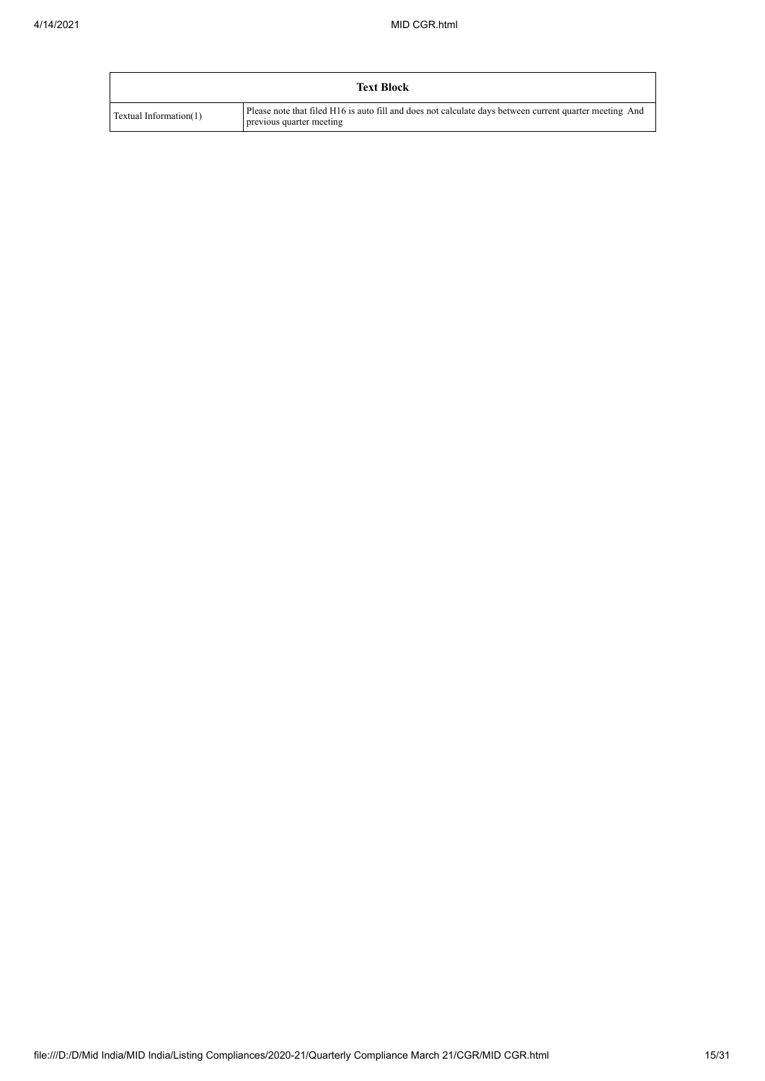|                        | <b>Text Block</b>                                                                                                                   |
|------------------------|-------------------------------------------------------------------------------------------------------------------------------------|
| Textual Information(1) | Please note that filed H16 is auto fill and does not calculate days between current quarter meeting And<br>previous quarter meeting |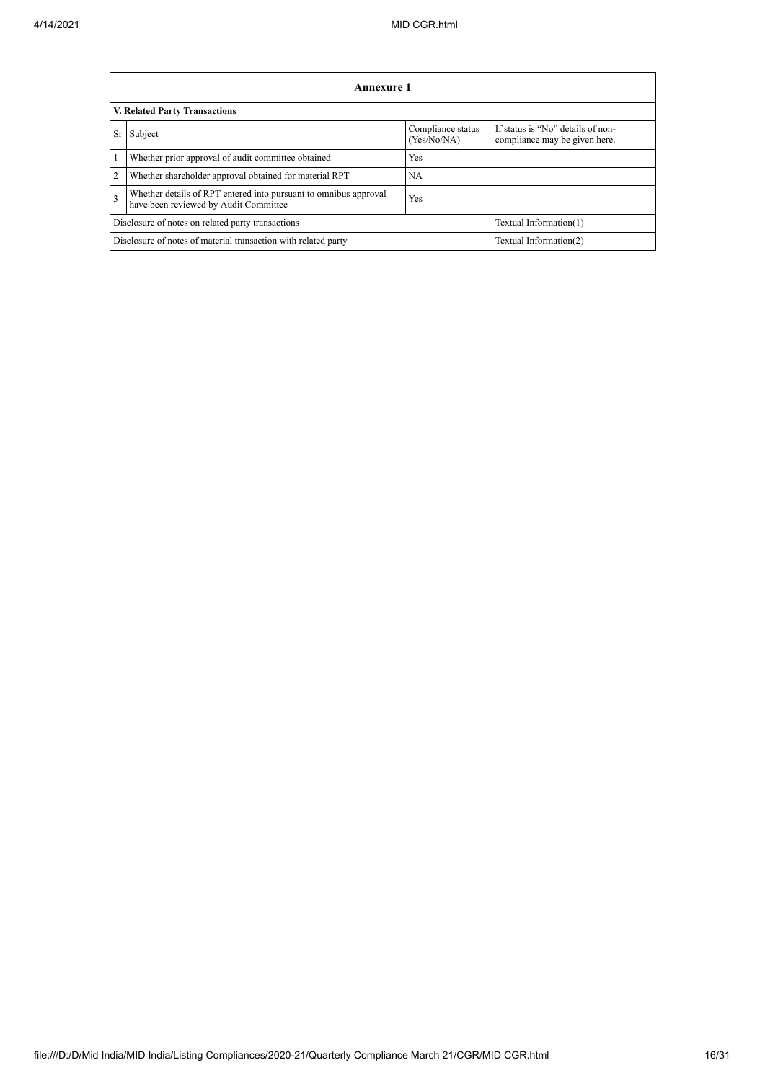|                | Annexure 1                                                                                                       |                                  |                                                                    |  |  |  |  |
|----------------|------------------------------------------------------------------------------------------------------------------|----------------------------------|--------------------------------------------------------------------|--|--|--|--|
|                | V. Related Party Transactions                                                                                    |                                  |                                                                    |  |  |  |  |
| Sr             | Subject                                                                                                          | Compliance status<br>(Yes/No/NA) | If status is "No" details of non-<br>compliance may be given here. |  |  |  |  |
| 1              | Whether prior approval of audit committee obtained                                                               | <b>Yes</b>                       |                                                                    |  |  |  |  |
| $\overline{2}$ | Whether shareholder approval obtained for material RPT                                                           | <b>NA</b>                        |                                                                    |  |  |  |  |
| 3              | Whether details of RPT entered into pursuant to omnibus approval<br>Yes<br>have been reviewed by Audit Committee |                                  |                                                                    |  |  |  |  |
|                | Disclosure of notes on related party transactions                                                                | Textual Information(1)           |                                                                    |  |  |  |  |
|                | Disclosure of notes of material transaction with related party                                                   | Textual Information(2)           |                                                                    |  |  |  |  |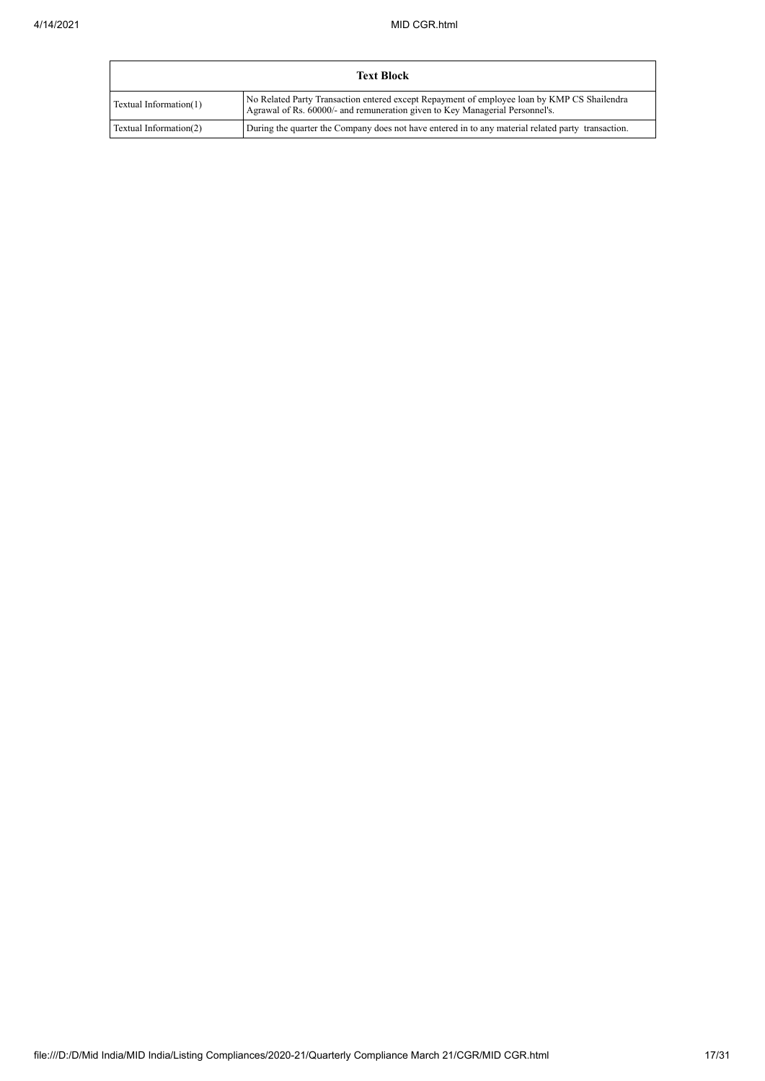|                        | Text Block                                                                                                                                                                  |
|------------------------|-----------------------------------------------------------------------------------------------------------------------------------------------------------------------------|
| Textual Information(1) | No Related Party Transaction entered except Repayment of employee loan by KMP CS Shailendra<br>Agrawal of Rs. 60000/- and remuneration given to Key Managerial Personnel's. |
| Textual Information(2) | During the quarter the Company does not have entered in to any material related party transaction.                                                                          |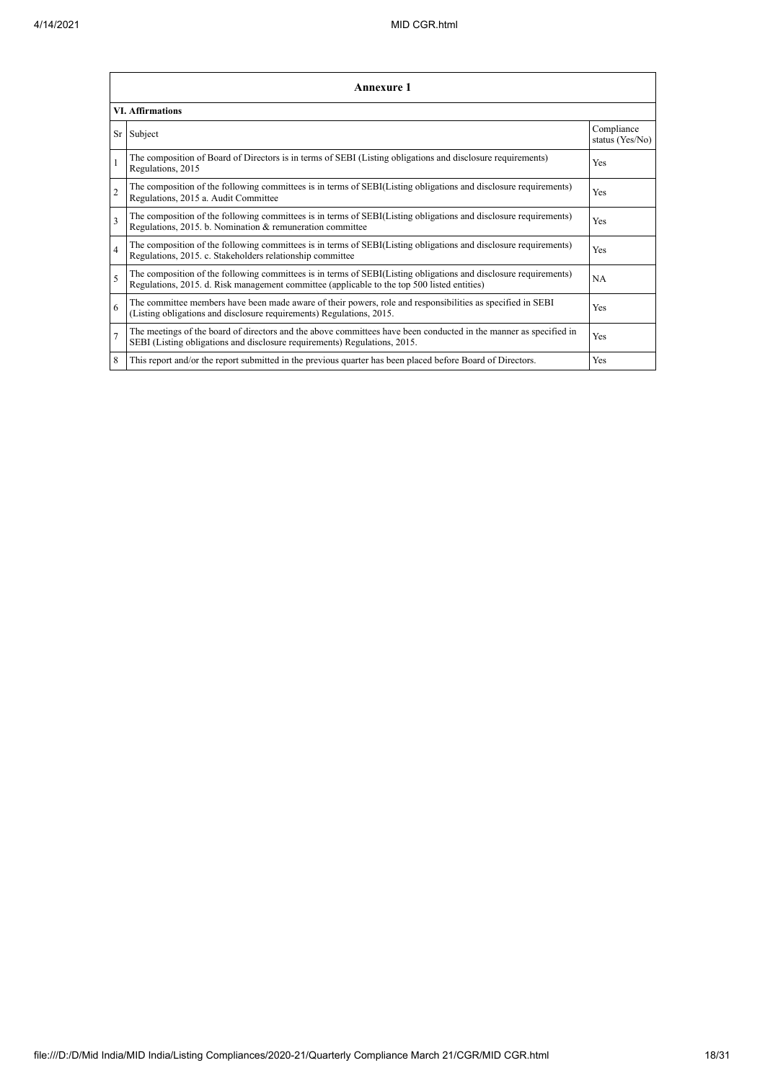|                          | <b>Annexure 1</b>                                                                                                                                                                                               |                               |  |  |  |  |
|--------------------------|-----------------------------------------------------------------------------------------------------------------------------------------------------------------------------------------------------------------|-------------------------------|--|--|--|--|
|                          | <b>VI. Affirmations</b>                                                                                                                                                                                         |                               |  |  |  |  |
|                          | Sr Subject                                                                                                                                                                                                      | Compliance<br>status (Yes/No) |  |  |  |  |
| $\mathbf{1}$             | The composition of Board of Directors is in terms of SEBI (Listing obligations and disclosure requirements)<br>Regulations, 2015                                                                                | Yes                           |  |  |  |  |
| $\overline{2}$           | The composition of the following committees is in terms of SEBI(Listing obligations and disclosure requirements)<br>Regulations, 2015 a. Audit Committee                                                        | <b>Yes</b>                    |  |  |  |  |
| 3                        | The composition of the following committees is in terms of SEBI(Listing obligations and disclosure requirements)<br>Regulations, 2015. b. Nomination & remuneration committee                                   | <b>Yes</b>                    |  |  |  |  |
| $\overline{4}$           | The composition of the following committees is in terms of SEBI(Listing obligations and disclosure requirements)<br>Regulations, 2015. c. Stakeholders relationship committee                                   | <b>Yes</b>                    |  |  |  |  |
| $\overline{\phantom{0}}$ | The composition of the following committees is in terms of SEBI(Listing obligations and disclosure requirements)<br>Regulations, 2015. d. Risk management committee (applicable to the top 500 listed entities) | <b>NA</b>                     |  |  |  |  |
| 6                        | The committee members have been made aware of their powers, role and responsibilities as specified in SEBI<br>(Listing obligations and disclosure requirements) Regulations, 2015.                              | <b>Yes</b>                    |  |  |  |  |
| $\overline{7}$           | The meetings of the board of directors and the above committees have been conducted in the manner as specified in<br>SEBI (Listing obligations and disclosure requirements) Regulations, 2015.                  | Yes                           |  |  |  |  |
| 8                        | This report and/or the report submitted in the previous quarter has been placed before Board of Directors.                                                                                                      | <b>Yes</b>                    |  |  |  |  |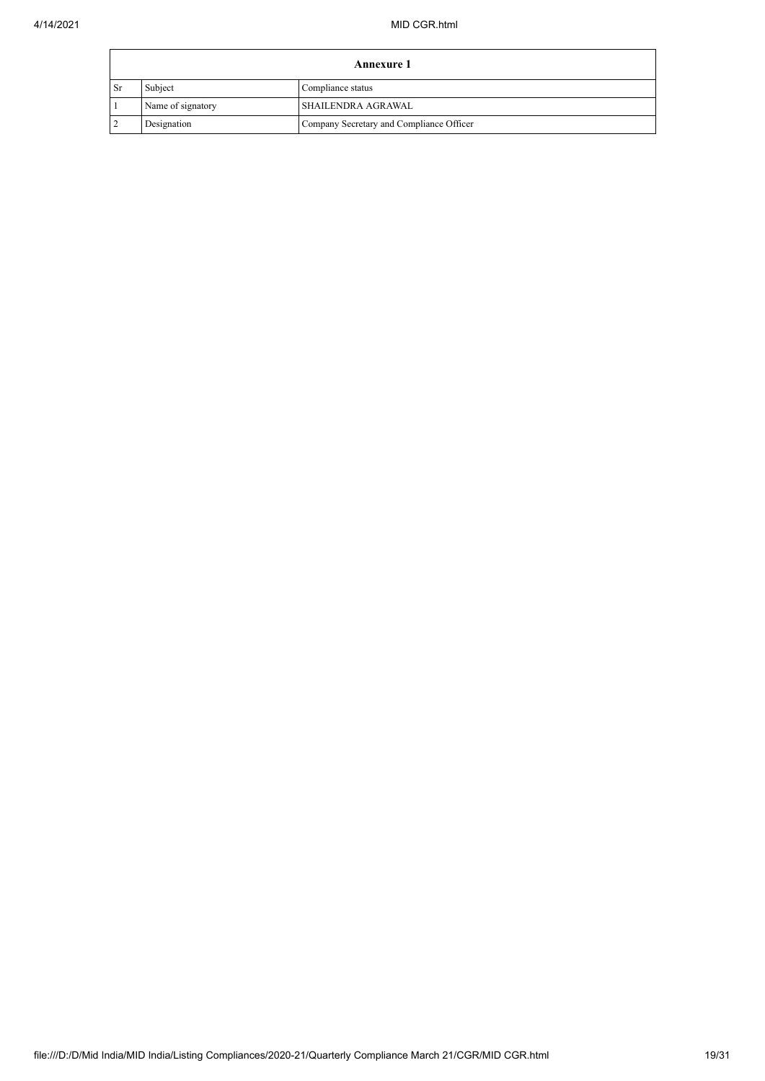|                                                         | <b>Annexure 1</b>                       |  |  |  |  |
|---------------------------------------------------------|-----------------------------------------|--|--|--|--|
| l Sr                                                    | Subject<br>Compliance status            |  |  |  |  |
|                                                         | SHAILENDRA AGRAWAL<br>Name of signatory |  |  |  |  |
| Designation<br>Company Secretary and Compliance Officer |                                         |  |  |  |  |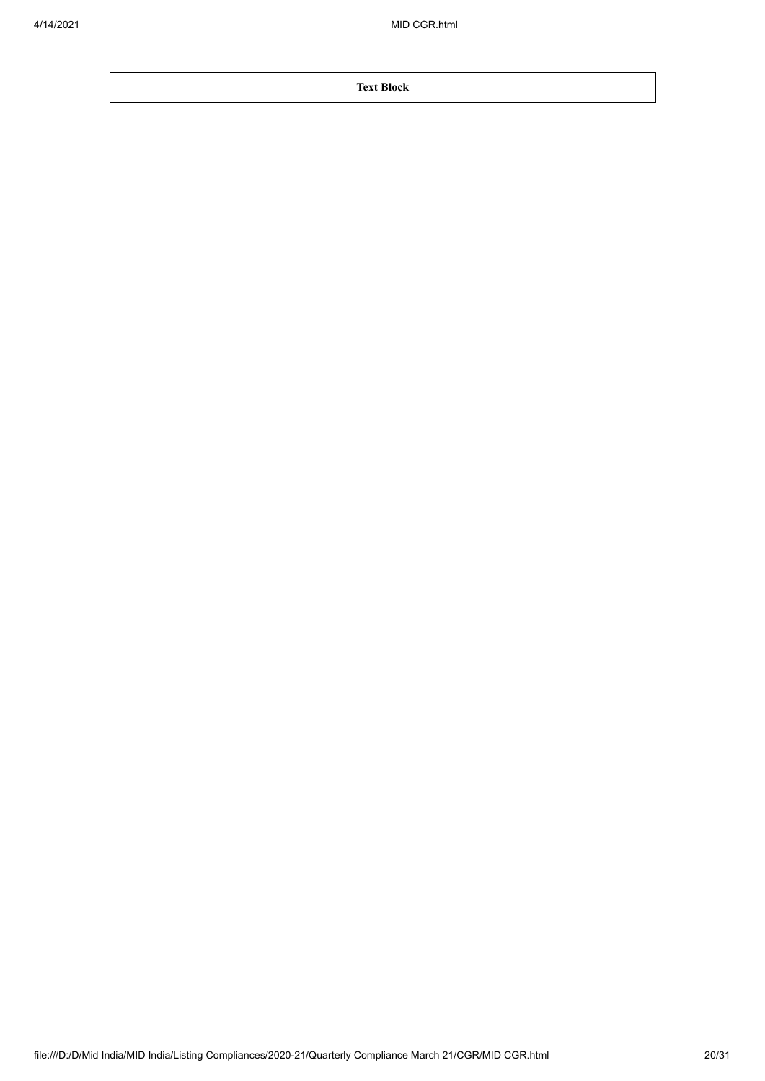**Text Block**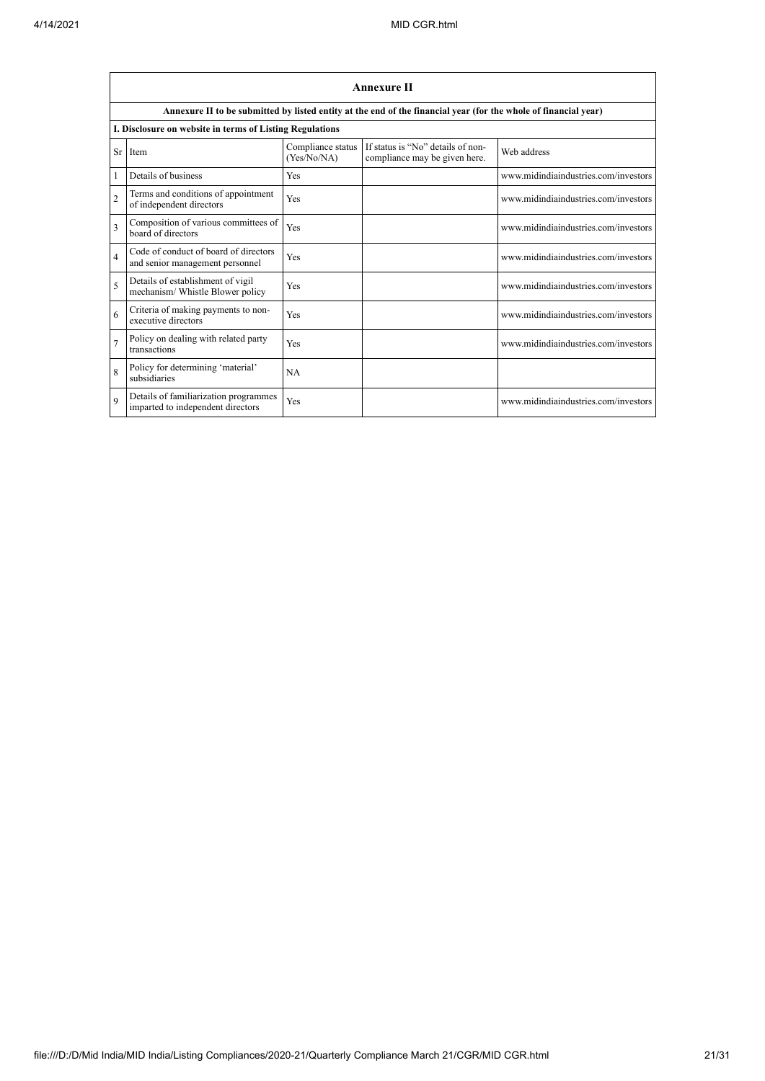|                | <b>Annexure II</b>                                                                                              |                                  |                                                                    |                                      |  |  |  |
|----------------|-----------------------------------------------------------------------------------------------------------------|----------------------------------|--------------------------------------------------------------------|--------------------------------------|--|--|--|
|                | Annexure II to be submitted by listed entity at the end of the financial year (for the whole of financial year) |                                  |                                                                    |                                      |  |  |  |
|                | I. Disclosure on website in terms of Listing Regulations                                                        |                                  |                                                                    |                                      |  |  |  |
|                | Sr Item                                                                                                         | Compliance status<br>(Yes/No/NA) | If status is "No" details of non-<br>compliance may be given here. | Web address                          |  |  |  |
|                | Details of business                                                                                             | Yes                              |                                                                    | www.midindiaindustries.com/investors |  |  |  |
| $\overline{2}$ | Terms and conditions of appointment<br>of independent directors                                                 | Yes                              |                                                                    | www.midindiaindustries.com/investors |  |  |  |
| 3              | Composition of various committees of<br>board of directors                                                      | Yes                              |                                                                    | www.midindiaindustries.com/investors |  |  |  |
| $\overline{4}$ | Code of conduct of board of directors<br>and senior management personnel                                        | Yes                              |                                                                    | www.midindiaindustries.com/investors |  |  |  |
| 5              | Details of establishment of vigil<br>mechanism/ Whistle Blower policy                                           | Yes                              |                                                                    | www.midindiaindustries.com/investors |  |  |  |
| 6              | Criteria of making payments to non-<br>executive directors                                                      | Yes                              |                                                                    | www.midindiaindustries.com/investors |  |  |  |
| $\overline{7}$ | Policy on dealing with related party<br>transactions                                                            | Yes                              |                                                                    | www.midindiaindustries.com/investors |  |  |  |
| $\mathbf{8}$   | Policy for determining 'material'<br>subsidiaries                                                               | NA                               |                                                                    |                                      |  |  |  |
| $\mathbf Q$    | Details of familiarization programmes<br>imparted to independent directors                                      | Yes                              |                                                                    | www.midindiaindustries.com/investors |  |  |  |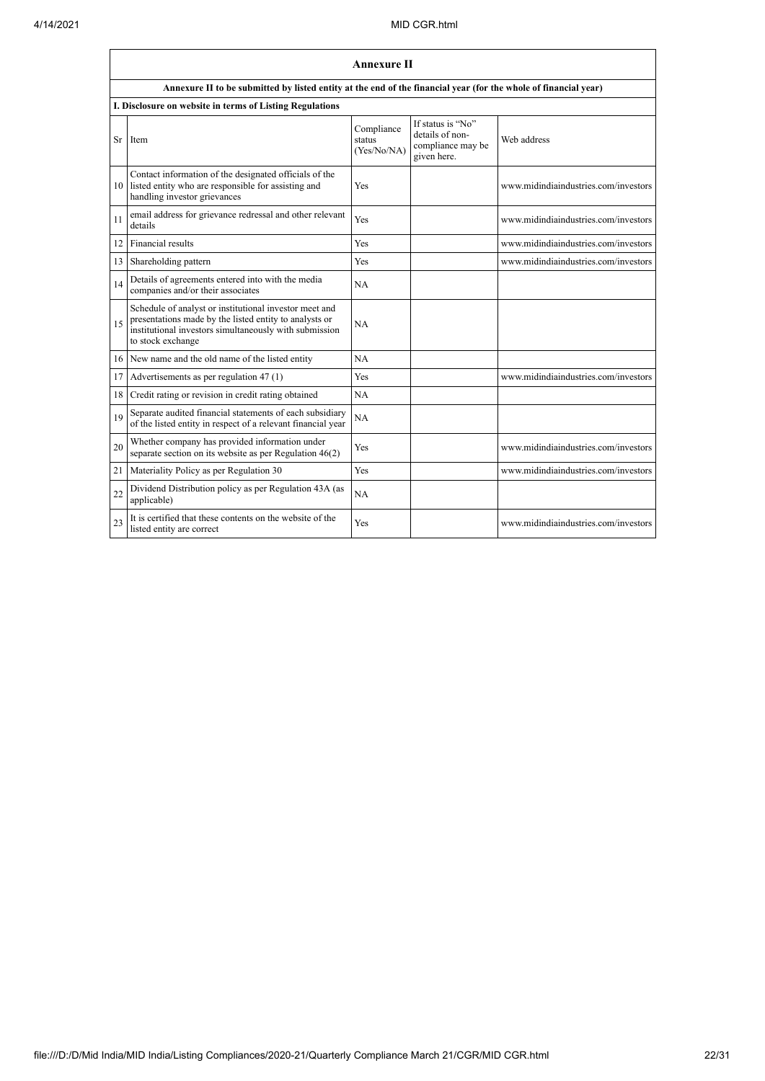|    | <b>Annexure II</b>                                                                                                                                                                              |                                     |                                                                          |                                      |  |  |
|----|-------------------------------------------------------------------------------------------------------------------------------------------------------------------------------------------------|-------------------------------------|--------------------------------------------------------------------------|--------------------------------------|--|--|
|    | Annexure II to be submitted by listed entity at the end of the financial year (for the whole of financial year)                                                                                 |                                     |                                                                          |                                      |  |  |
|    | I. Disclosure on website in terms of Listing Regulations                                                                                                                                        |                                     |                                                                          |                                      |  |  |
| Sr | Item                                                                                                                                                                                            | Compliance<br>status<br>(Yes/No/NA) | If status is "No"<br>details of non-<br>compliance may be<br>given here. | Web address                          |  |  |
| 10 | Contact information of the designated officials of the<br>listed entity who are responsible for assisting and<br>handling investor grievances                                                   | Yes                                 |                                                                          | www.midindiaindustries.com/investors |  |  |
| 11 | email address for grievance redressal and other relevant<br>details                                                                                                                             | Yes                                 |                                                                          | www.midindiaindustries.com/investors |  |  |
| 12 | Financial results                                                                                                                                                                               | Yes                                 |                                                                          | www.midindiaindustries.com/investors |  |  |
| 13 | Shareholding pattern                                                                                                                                                                            | Yes                                 |                                                                          | www.midindiaindustries.com/investors |  |  |
| 14 | Details of agreements entered into with the media<br>companies and/or their associates                                                                                                          | <b>NA</b>                           |                                                                          |                                      |  |  |
| 15 | Schedule of analyst or institutional investor meet and<br>presentations made by the listed entity to analysts or<br>institutional investors simultaneously with submission<br>to stock exchange | <b>NA</b>                           |                                                                          |                                      |  |  |
| 16 | New name and the old name of the listed entity                                                                                                                                                  | NA                                  |                                                                          |                                      |  |  |
| 17 | Advertisements as per regulation 47 (1)                                                                                                                                                         | Yes                                 |                                                                          | www.midindiaindustries.com/investors |  |  |
| 18 | Credit rating or revision in credit rating obtained                                                                                                                                             | <b>NA</b>                           |                                                                          |                                      |  |  |
| 19 | Separate audited financial statements of each subsidiary<br>of the listed entity in respect of a relevant financial year                                                                        | NA                                  |                                                                          |                                      |  |  |
| 20 | Whether company has provided information under<br>separate section on its website as per Regulation $46(2)$                                                                                     | Yes                                 |                                                                          | www.midindiaindustries.com/investors |  |  |
| 21 | Materiality Policy as per Regulation 30                                                                                                                                                         | Yes                                 |                                                                          | www.midindiaindustries.com/investors |  |  |
| 22 | Dividend Distribution policy as per Regulation 43A (as<br>applicable)                                                                                                                           | NA                                  |                                                                          |                                      |  |  |
| 23 | It is certified that these contents on the website of the<br>listed entity are correct                                                                                                          | Yes                                 |                                                                          | www.midindiaindustries.com/investors |  |  |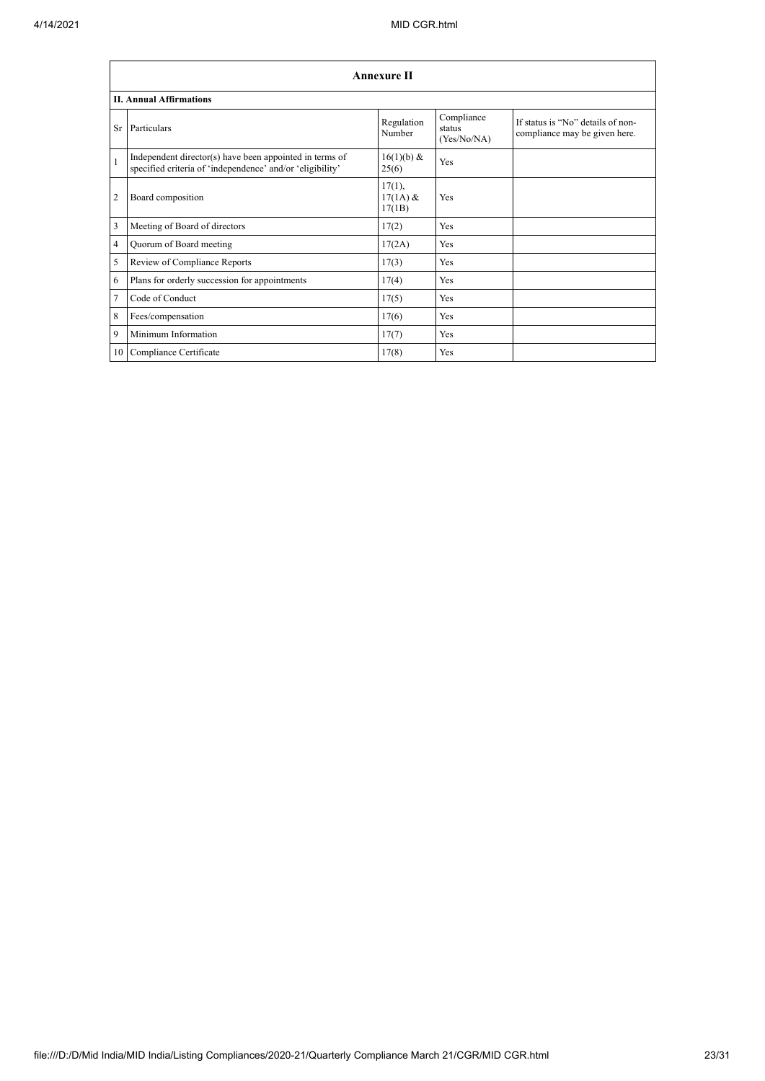|                | <b>Annexure II</b>                                                                                                   |                                |                                     |                                                                    |  |  |
|----------------|----------------------------------------------------------------------------------------------------------------------|--------------------------------|-------------------------------------|--------------------------------------------------------------------|--|--|
|                | <b>II. Annual Affirmations</b>                                                                                       |                                |                                     |                                                                    |  |  |
| <b>Sr</b>      | Particulars                                                                                                          | Regulation<br>Number           | Compliance<br>status<br>(Yes/No/NA) | If status is "No" details of non-<br>compliance may be given here. |  |  |
| $\mathbf{1}$   | Independent director(s) have been appointed in terms of<br>specified criteria of 'independence' and/or 'eligibility' | 16(1)(b) &<br>25(6)            | Yes                                 |                                                                    |  |  |
| $\overline{2}$ | Board composition                                                                                                    | 17(1),<br>$17(1A)$ &<br>17(1B) | Yes                                 |                                                                    |  |  |
| $\overline{3}$ | Meeting of Board of directors                                                                                        | 17(2)                          | Yes                                 |                                                                    |  |  |
| $\overline{4}$ | Quorum of Board meeting                                                                                              | 17(2A)                         | Yes                                 |                                                                    |  |  |
| 5              | Review of Compliance Reports                                                                                         | 17(3)                          | Yes                                 |                                                                    |  |  |
| 6              | Plans for orderly succession for appointments                                                                        | 17(4)                          | Yes                                 |                                                                    |  |  |
| $\overline{7}$ | Code of Conduct                                                                                                      | 17(5)                          | Yes                                 |                                                                    |  |  |
| 8              | Fees/compensation                                                                                                    | 17(6)                          | Yes                                 |                                                                    |  |  |
| 9              | Minimum Information                                                                                                  | 17(7)                          | Yes                                 |                                                                    |  |  |
|                | 10 Compliance Certificate                                                                                            | 17(8)                          | Yes                                 |                                                                    |  |  |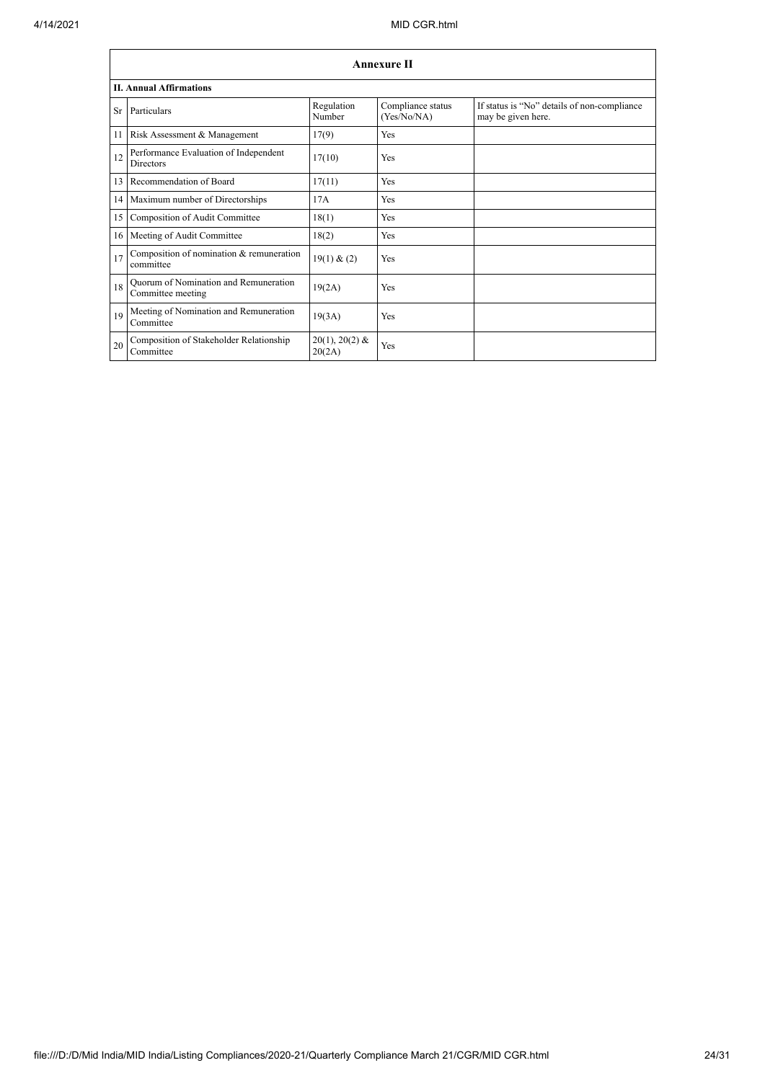|    | <b>Annexure II</b>                                         |                            |                                  |                                                                   |  |  |  |  |
|----|------------------------------------------------------------|----------------------------|----------------------------------|-------------------------------------------------------------------|--|--|--|--|
|    | <b>II. Annual Affirmations</b>                             |                            |                                  |                                                                   |  |  |  |  |
|    | Sr Particulars                                             | Regulation<br>Number       | Compliance status<br>(Yes/No/NA) | If status is "No" details of non-compliance<br>may be given here. |  |  |  |  |
| 11 | Risk Assessment & Management                               | 17(9)                      | Yes                              |                                                                   |  |  |  |  |
| 12 | Performance Evaluation of Independent<br><b>Directors</b>  | 17(10)                     | Yes                              |                                                                   |  |  |  |  |
| 13 | Recommendation of Board                                    | 17(11)                     | Yes                              |                                                                   |  |  |  |  |
|    | 14 Maximum number of Directorships                         | 17A                        | Yes                              |                                                                   |  |  |  |  |
| 15 | Composition of Audit Committee                             | 18(1)                      | Yes                              |                                                                   |  |  |  |  |
| 16 | Meeting of Audit Committee                                 | 18(2)                      | Yes                              |                                                                   |  |  |  |  |
| 17 | Composition of nomination & remuneration<br>committee      | 19(1) & (2)                | Yes                              |                                                                   |  |  |  |  |
| 18 | Quorum of Nomination and Remuneration<br>Committee meeting | 19(2A)                     | Yes                              |                                                                   |  |  |  |  |
| 19 | Meeting of Nomination and Remuneration<br>Committee        | 19(3A)                     | Yes                              |                                                                   |  |  |  |  |
| 20 | Composition of Stakeholder Relationship<br>Committee       | $20(1), 20(2)$ &<br>20(2A) | Yes                              |                                                                   |  |  |  |  |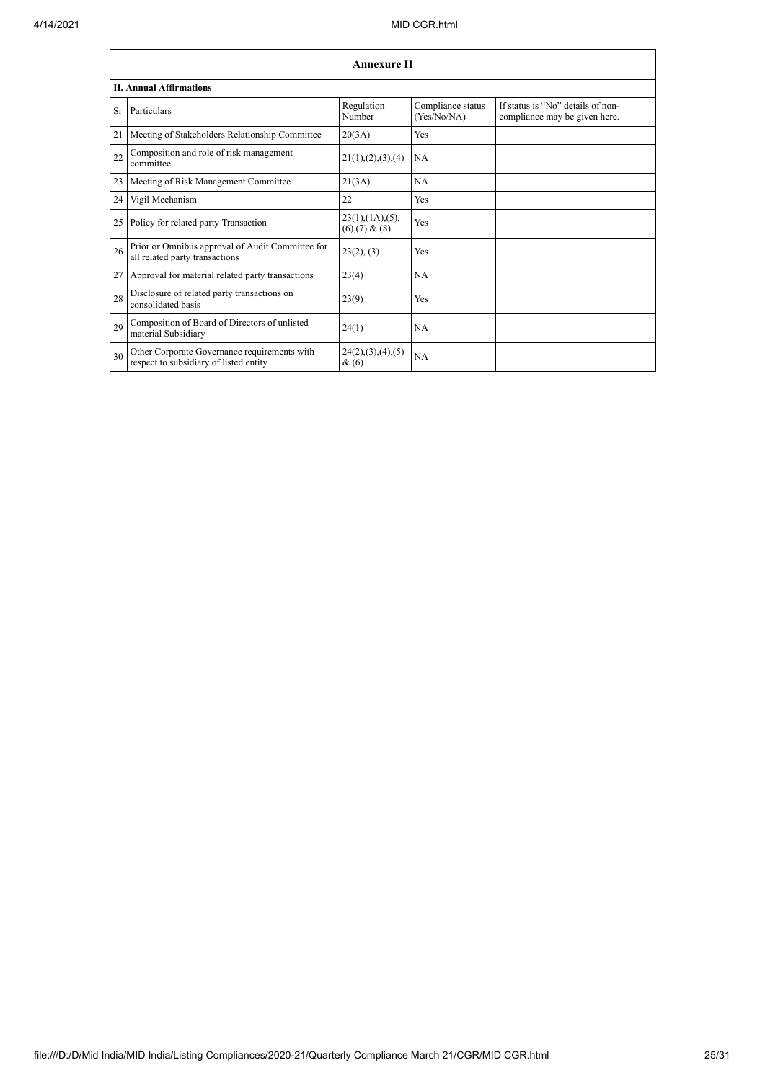|    | <b>Annexure II</b>                                                                     |                                                |                                  |                                                                    |  |  |
|----|----------------------------------------------------------------------------------------|------------------------------------------------|----------------------------------|--------------------------------------------------------------------|--|--|
|    | <b>II. Annual Affirmations</b>                                                         |                                                |                                  |                                                                    |  |  |
| Sr | Particulars                                                                            | Regulation<br>Number                           | Compliance status<br>(Yes/No/NA) | If status is "No" details of non-<br>compliance may be given here. |  |  |
| 21 | Meeting of Stakeholders Relationship Committee                                         | 20(3A)                                         | Yes                              |                                                                    |  |  |
| 22 | Composition and role of risk management<br>committee                                   | 21(1), (2), (3), (4)                           | <b>NA</b>                        |                                                                    |  |  |
| 23 | Meeting of Risk Management Committee                                                   | 21(3A)                                         | <b>NA</b>                        |                                                                    |  |  |
| 24 | Vigil Mechanism                                                                        | 22                                             | Yes                              |                                                                    |  |  |
| 25 | Policy for related party Transaction                                                   | $23(1)$ , $(1A)$ , $(5)$ ,<br>$(6)(7)$ & $(8)$ | Yes                              |                                                                    |  |  |
| 26 | Prior or Omnibus approval of Audit Committee for<br>all related party transactions     | 23(2), (3)                                     | Yes                              |                                                                    |  |  |
| 27 | Approval for material related party transactions                                       | 23(4)                                          | <b>NA</b>                        |                                                                    |  |  |
| 28 | Disclosure of related party transactions on<br>consolidated basis                      | 23(9)                                          | Yes                              |                                                                    |  |  |
| 29 | Composition of Board of Directors of unlisted<br>material Subsidiary                   | 24(1)                                          | NA                               |                                                                    |  |  |
| 30 | Other Corporate Governance requirements with<br>respect to subsidiary of listed entity | 24(2), (3), (4), (5)<br>& (6)                  | <b>NA</b>                        |                                                                    |  |  |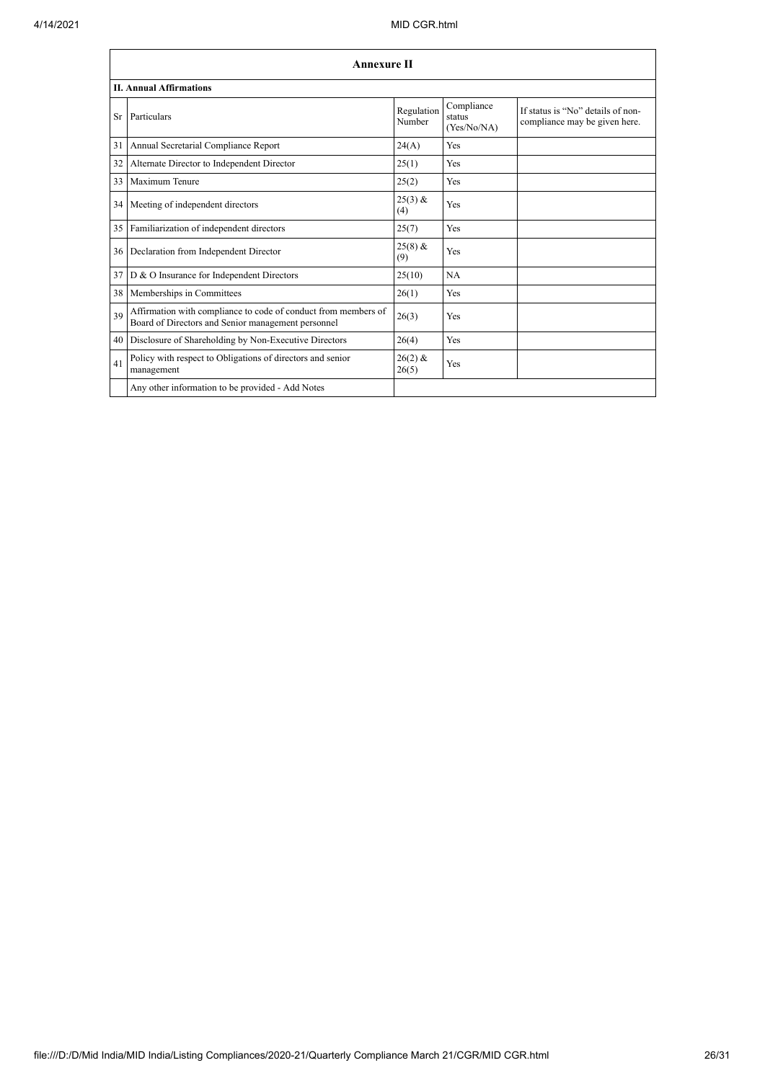|           | <b>Annexure II</b>                                                                                                   |                      |                                     |                                                                    |  |  |  |  |
|-----------|----------------------------------------------------------------------------------------------------------------------|----------------------|-------------------------------------|--------------------------------------------------------------------|--|--|--|--|
|           | <b>II. Annual Affirmations</b>                                                                                       |                      |                                     |                                                                    |  |  |  |  |
| <b>Sr</b> | Particulars                                                                                                          | Regulation<br>Number | Compliance<br>status<br>(Yes/No/NA) | If status is "No" details of non-<br>compliance may be given here. |  |  |  |  |
| 31        | Annual Secretarial Compliance Report                                                                                 | 24(A)                | Yes                                 |                                                                    |  |  |  |  |
| 32        | Alternate Director to Independent Director                                                                           | 25(1)                | Yes                                 |                                                                    |  |  |  |  |
| 33        | Maximum Tenure                                                                                                       | 25(2)                | Yes                                 |                                                                    |  |  |  |  |
| 34        | Meeting of independent directors                                                                                     | $25(3)$ &<br>(4)     | Yes                                 |                                                                    |  |  |  |  |
| 35        | Familiarization of independent directors                                                                             | 25(7)                | Yes                                 |                                                                    |  |  |  |  |
| 36        | Declaration from Independent Director                                                                                | $25(8)$ &<br>(9)     | Yes                                 |                                                                    |  |  |  |  |
| 37        | D & O Insurance for Independent Directors                                                                            | 25(10)               | NA                                  |                                                                    |  |  |  |  |
| 38        | Memberships in Committees                                                                                            | 26(1)                | Yes                                 |                                                                    |  |  |  |  |
| 39        | Affirmation with compliance to code of conduct from members of<br>Board of Directors and Senior management personnel | 26(3)                | Yes                                 |                                                                    |  |  |  |  |
| 40        | Disclosure of Shareholding by Non-Executive Directors                                                                | 26(4)                | Yes                                 |                                                                    |  |  |  |  |
| 41        | Policy with respect to Obligations of directors and senior<br>management                                             | $26(2)$ &<br>26(5)   | Yes                                 |                                                                    |  |  |  |  |
|           | Any other information to be provided - Add Notes                                                                     |                      |                                     |                                                                    |  |  |  |  |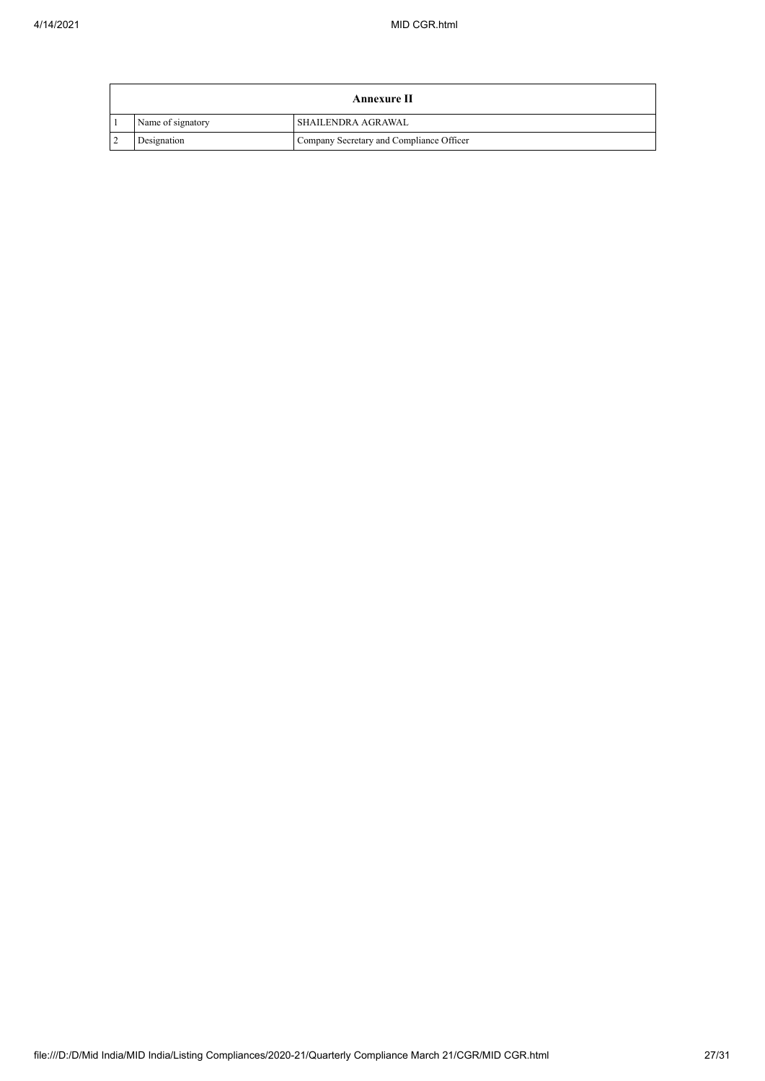| Annexure II       |                                          |  |
|-------------------|------------------------------------------|--|
| Name of signatory | <b>SHAILENDRA AGRAWAL</b>                |  |
| Designation       | Company Secretary and Compliance Officer |  |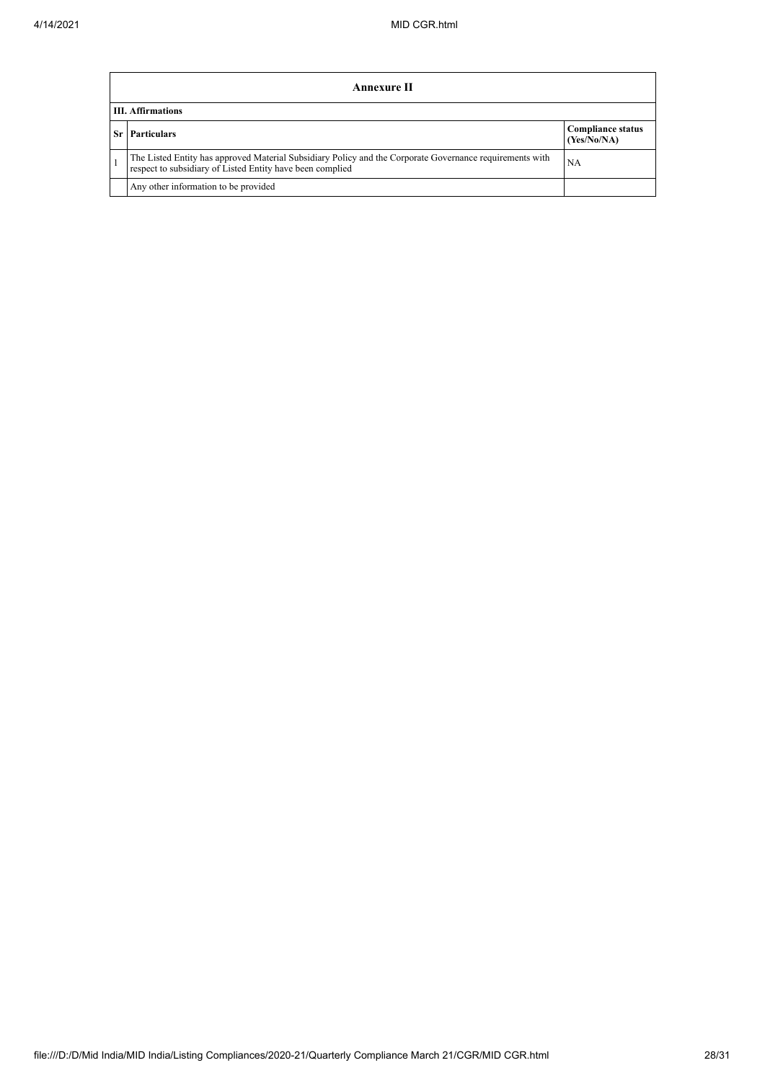|                          | <b>Annexure II</b>                                                                                                                                                    |                                         |  |  |
|--------------------------|-----------------------------------------------------------------------------------------------------------------------------------------------------------------------|-----------------------------------------|--|--|
| <b>III. Affirmations</b> |                                                                                                                                                                       |                                         |  |  |
|                          | <b>Sr</b> Particulars                                                                                                                                                 | <b>Compliance status</b><br>(Yes/No/NA) |  |  |
|                          | The Listed Entity has approved Material Subsidiary Policy and the Corporate Governance requirements with<br>respect to subsidiary of Listed Entity have been complied | NA                                      |  |  |
|                          | Any other information to be provided                                                                                                                                  |                                         |  |  |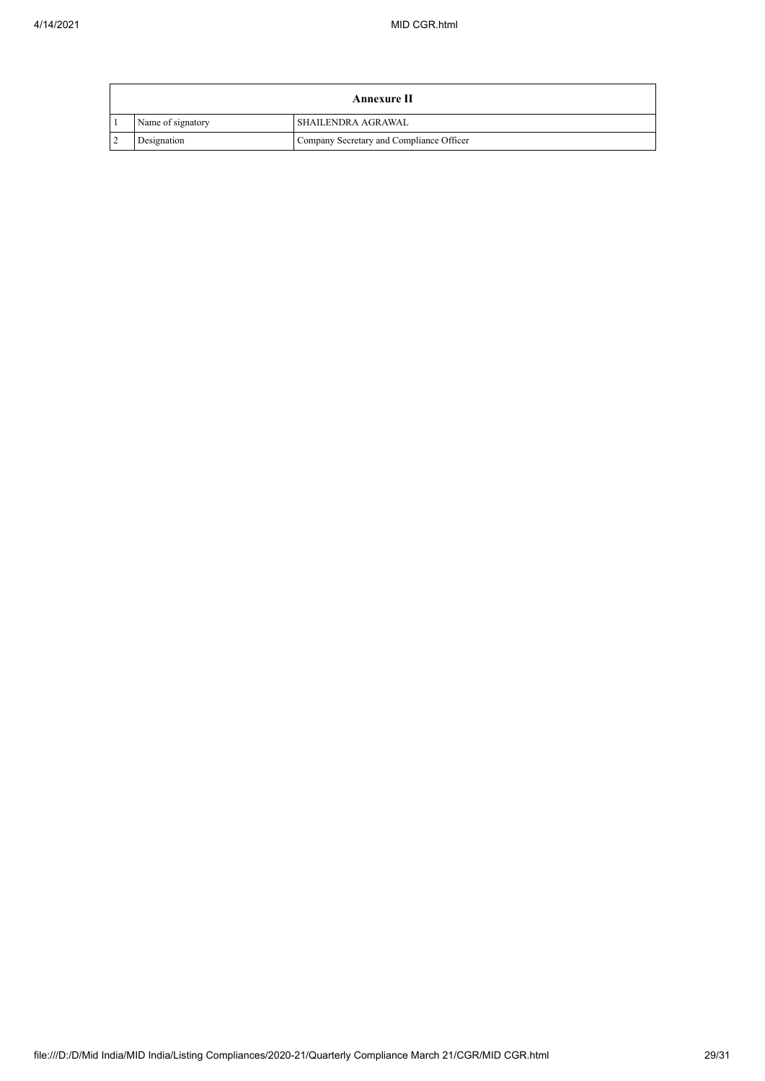| Annexure II       |                                          |  |
|-------------------|------------------------------------------|--|
| Name of signatory | <b>SHAILENDRA AGRAWAL</b>                |  |
| Designation       | Company Secretary and Compliance Officer |  |